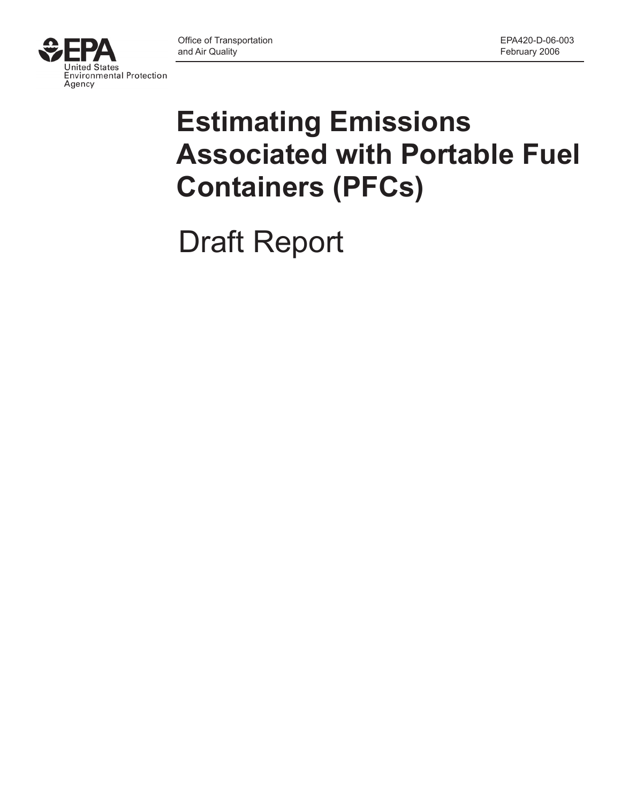

# **Estimating Emissions Associated with Portable Fuel Containers (PFCs)**

Draft Report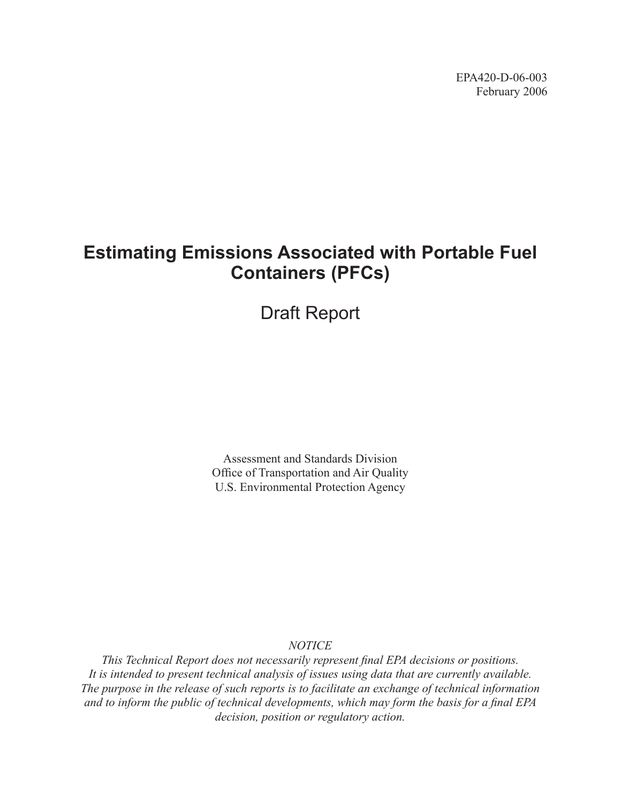EPA420-D-06-003 February 2006

# **Estimating Emissions Associated with Portable Fuel Containers (PFCs)**

Draft Report

Assessment and Standards Division Office of Transportation and Air Quality U.S. Environmental Protection Agency

*NOTICE*

*This Technical Report does not necessarily represent final EPA decisions or positions. It is intended to present technical analysis of issues using data that are currently available. The purpose in the release of such reports is to facilitate an exchange of technical information and to inform the public of technical developments, which may form the basis for a final EPA decision, position or regulatory action.*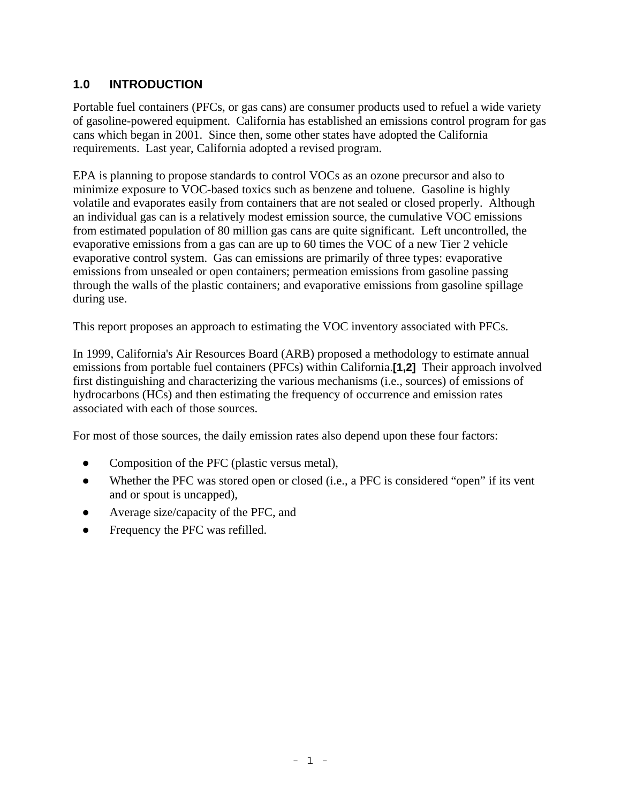### **1.0 INTRODUCTION**

Portable fuel containers (PFCs, or gas cans) are consumer products used to refuel a wide variety of gasoline-powered equipment. California has established an emissions control program for gas cans which began in 2001. Since then, some other states have adopted the California requirements. Last year, California adopted a revised program.

EPA is planning to propose standards to control VOCs as an ozone precursor and also to minimize exposure to VOC-based toxics such as benzene and toluene. Gasoline is highly volatile and evaporates easily from containers that are not sealed or closed properly. Although an individual gas can is a relatively modest emission source, the cumulative VOC emissions from estimated population of 80 million gas cans are quite significant. Left uncontrolled, the evaporative emissions from a gas can are up to 60 times the VOC of a new Tier 2 vehicle evaporative control system. Gas can emissions are primarily of three types: evaporative emissions from unsealed or open containers; permeation emissions from gasoline passing through the walls of the plastic containers; and evaporative emissions from gasoline spillage during use.

This report proposes an approach to estimating the VOC inventory associated with PFCs.

In 1999, California's Air Resources Board (ARB) proposed a methodology to estimate annual emissions from portable fuel containers (PFCs) within California.**[1,2]** Their approach involved first distinguishing and characterizing the various mechanisms (i.e., sources) of emissions of hydrocarbons (HCs) and then estimating the frequency of occurrence and emission rates associated with each of those sources.

For most of those sources, the daily emission rates also depend upon these four factors:

- Composition of the PFC (plastic versus metal),
- Whether the PFC was stored open or closed (i.e., a PFC is considered "open" if its vent and or spout is uncapped),
- Average size/capacity of the PFC, and
- Frequency the PFC was refilled.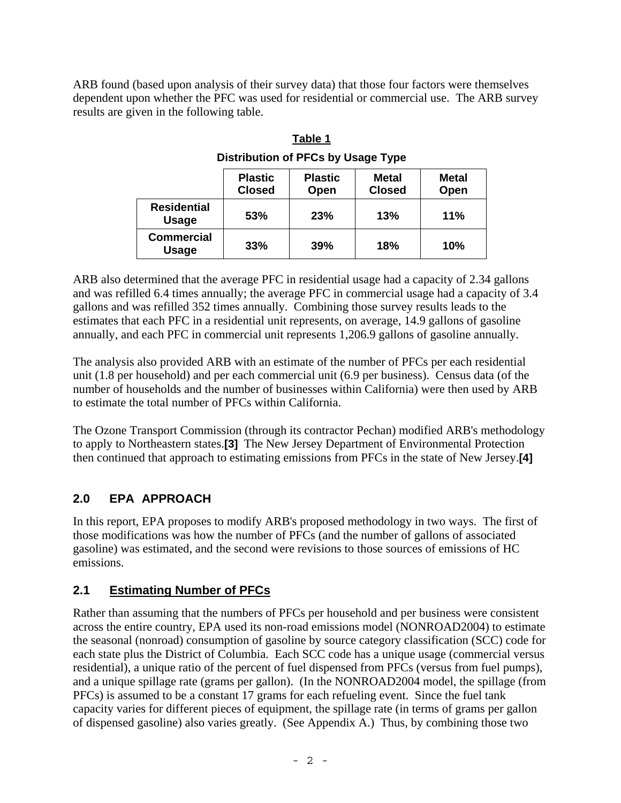ARB found (based upon analysis of their survey data) that those four factors were themselves dependent upon whether the PFC was used for residential or commercial use. The ARB survey results are given in the following table.

| Distribution of PFCs by Usage Type |                                 |                               |                      |     |  |
|------------------------------------|---------------------------------|-------------------------------|----------------------|-----|--|
|                                    | <b>Plastic</b><br><b>Closed</b> | <b>Metal</b><br><b>Closed</b> | <b>Metal</b><br>Open |     |  |
| <b>Residential</b><br><b>Usage</b> | 53%                             | 23%                           | 13%                  | 11% |  |
| <b>Commercial</b><br>Usage         | 33%                             | 39%                           | 18%                  | 10% |  |

**Table 1 Distribution of PFCs by Usage Type** 

ARB also determined that the average PFC in residential usage had a capacity of 2.34 gallons and was refilled 6.4 times annually; the average PFC in commercial usage had a capacity of 3.4 gallons and was refilled 352 times annually. Combining those survey results leads to the estimates that each PFC in a residential unit represents, on average, 14.9 gallons of gasoline annually, and each PFC in commercial unit represents 1,206.9 gallons of gasoline annually.

The analysis also provided ARB with an estimate of the number of PFCs per each residential unit (1.8 per household) and per each commercial unit (6.9 per business). Census data (of the number of households and the number of businesses within California) were then used by ARB to estimate the total number of PFCs within California.

The Ozone Transport Commission (through its contractor Pechan) modified ARB's methodology to apply to Northeastern states.**[3]** The New Jersey Department of Environmental Protection then continued that approach to estimating emissions from PFCs in the state of New Jersey.**[4]**

# **2.0 EPA APPROACH**

In this report, EPA proposes to modify ARB's proposed methodology in two ways. The first of those modifications was how the number of PFCs (and the number of gallons of associated gasoline) was estimated, and the second were revisions to those sources of emissions of HC emissions.

### **2.1 Estimating Number of PFCs**

Rather than assuming that the numbers of PFCs per household and per business were consistent across the entire country, EPA used its non-road emissions model (NONROAD2004) to estimate the seasonal (nonroad) consumption of gasoline by source category classification (SCC) code for each state plus the District of Columbia. Each SCC code has a unique usage (commercial versus residential), a unique ratio of the percent of fuel dispensed from PFCs (versus from fuel pumps), and a unique spillage rate (grams per gallon). (In the NONROAD2004 model, the spillage (from PFCs) is assumed to be a constant 17 grams for each refueling event. Since the fuel tank capacity varies for different pieces of equipment, the spillage rate (in terms of grams per gallon of dispensed gasoline) also varies greatly. (See Appendix A.) Thus, by combining those two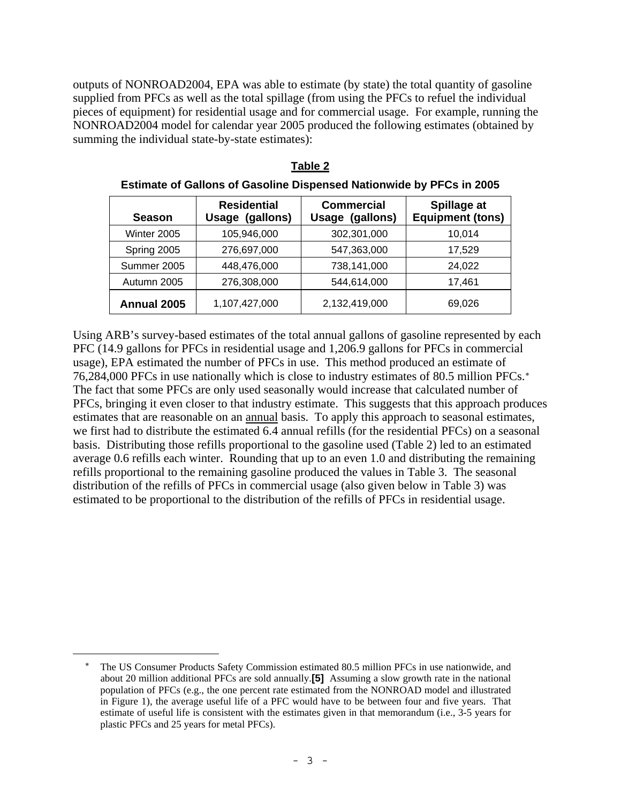outputs of NONROAD2004, EPA was able to estimate (by state) the total quantity of gasoline supplied from PFCs as well as the total spillage (from using the PFCs to refuel the individual pieces of equipment) for residential usage and for commercial usage. For example, running the NONROAD2004 model for calendar year 2005 produced the following estimates (obtained by summing the individual state-by-state estimates):

| <b>Season</b> | <b>Residential</b><br>Usage (gallons) | <b>Commercial</b><br>Usage (gallons) | Spillage at<br><b>Equipment (tons)</b> |
|---------------|---------------------------------------|--------------------------------------|----------------------------------------|
| Winter 2005   | 105,946,000                           | 302,301,000                          | 10,014                                 |
| Spring 2005   | 276,697,000                           | 547,363,000                          | 17.529                                 |
| Summer 2005   | 448,476,000                           | 738,141,000                          | 24,022                                 |
| Autumn 2005   | 276,308,000                           | 544,614,000                          | 17,461                                 |
| Annual 2005   | 1,107,427,000                         | 2,132,419,000                        | 69,026                                 |

**Table 2**

**Estimate of Gallons of Gasoline Dispensed Nationwide by PFCs in 2005** 

Using ARB's survey-based estimates of the total annual gallons of gasoline represented by each PFC (14.9 gallons for PFCs in residential usage and 1,206.9 gallons for PFCs in commercial usage), EPA estimated the number of PFCs in use. This method produced an estimate of 76,284,000 PFCs in use nationally which is close to industry estimates of 80.5 million PFCs.[∗](#page-4-0) The fact that some PFCs are only used seasonally would increase that calculated number of PFCs, bringing it even closer to that industry estimate. This suggests that this approach produces estimates that are reasonable on an annual basis. To apply this approach to seasonal estimates, we first had to distribute the estimated 6.4 annual refills (for the residential PFCs) on a seasonal basis. Distributing those refills proportional to the gasoline used (Table 2) led to an estimated average 0.6 refills each winter. Rounding that up to an even 1.0 and distributing the remaining refills proportional to the remaining gasoline produced the values in Table 3. The seasonal distribution of the refills of PFCs in commercial usage (also given below in Table 3) was estimated to be proportional to the distribution of the refills of PFCs in residential usage.

<span id="page-4-0"></span>

The US Consumer Products Safety Commission estimated 80.5 million PFCs in use nationwide, and about 20 million additional PFCs are sold annually.**[5]** Assuming a slow growth rate in the national population of PFCs (e.g., the one percent rate estimated from the NONROAD model and illustrated in Figure 1), the average useful life of a PFC would have to be between four and five years. That estimate of useful life is consistent with the estimates given in that memorandum (i.e., 3-5 years for plastic PFCs and 25 years for metal PFCs).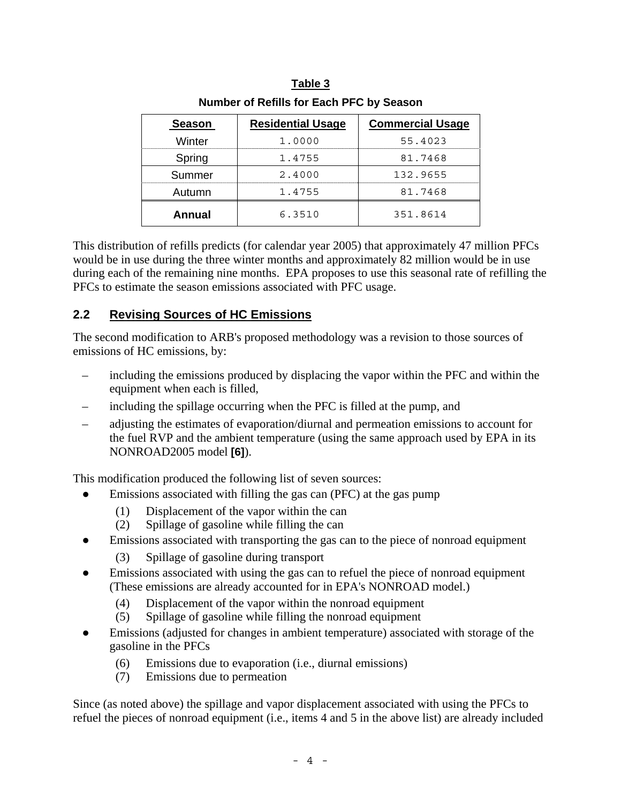| <b>Season</b> | <b>Residential Usage</b> | <b>Commercial Usage</b> |
|---------------|--------------------------|-------------------------|
| Winter        | 1,0000                   | 55.4023                 |
| Spring        | 1.4755                   | 81.7468                 |
| Summer        | 2.4000                   | 132.9655                |
| Autumn        | 1.4755                   | 81.7468                 |
| Annual        | 6.3510                   | 351.8614                |

| Table 3                                  |
|------------------------------------------|
| Number of Refills for Each PFC by Season |

This distribution of refills predicts (for calendar year 2005) that approximately 47 million PFCs would be in use during the three winter months and approximately 82 million would be in use during each of the remaining nine months. EPA proposes to use this seasonal rate of refilling the PFCs to estimate the season emissions associated with PFC usage.

### **2.2 Revising Sources of HC Emissions**

The second modification to ARB's proposed methodology was a revision to those sources of emissions of HC emissions, by:

- including the emissions produced by displacing the vapor within the PFC and within the equipment when each is filled,
- including the spillage occurring when the PFC is filled at the pump, and
- adjusting the estimates of evaporation/diurnal and permeation emissions to account for the fuel RVP and the ambient temperature (using the same approach used by EPA in its NONROAD2005 model **[6]**).

This modification produced the following list of seven sources:

- Emissions associated with filling the gas can (PFC) at the gas pump
	- (1) Displacement of the vapor within the can
	- (2) Spillage of gasoline while filling the can
- Emissions associated with transporting the gas can to the piece of nonroad equipment
	- (3) Spillage of gasoline during transport
- Emissions associated with using the gas can to refuel the piece of nonroad equipment (These emissions are already accounted for in EPA's NONROAD model.)
	- (4) Displacement of the vapor within the nonroad equipment
	- (5) Spillage of gasoline while filling the nonroad equipment
- Emissions (adjusted for changes in ambient temperature) associated with storage of the gasoline in the PFCs
	- (6) Emissions due to evaporation (i.e., diurnal emissions)
	- (7) Emissions due to permeation

Since (as noted above) the spillage and vapor displacement associated with using the PFCs to refuel the pieces of nonroad equipment (i.e., items 4 and 5 in the above list) are already included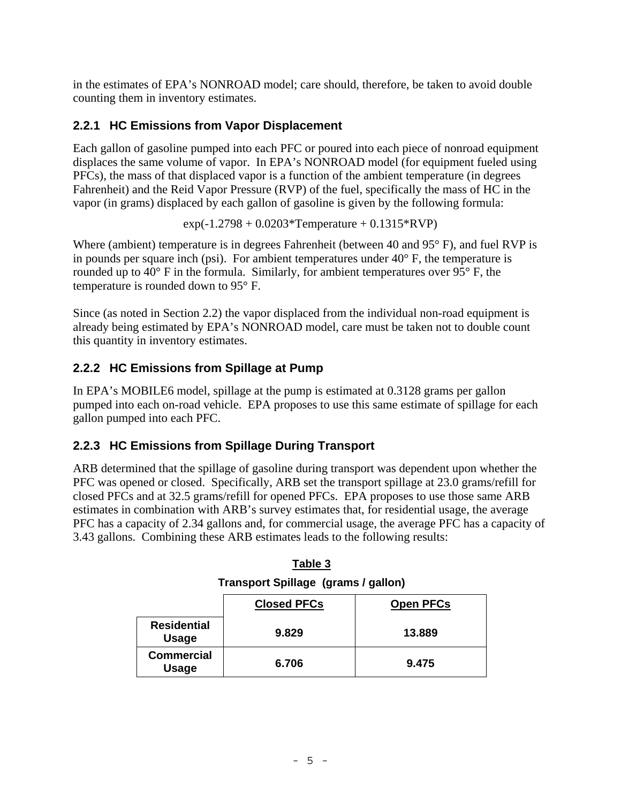in the estimates of EPA's NONROAD model; care should, therefore, be taken to avoid double counting them in inventory estimates.

### **2.2.1 HC Emissions from Vapor Displacement**

Each gallon of gasoline pumped into each PFC or poured into each piece of nonroad equipment displaces the same volume of vapor. In EPA's NONROAD model (for equipment fueled using PFCs), the mass of that displaced vapor is a function of the ambient temperature (in degrees Fahrenheit) and the Reid Vapor Pressure (RVP) of the fuel, specifically the mass of HC in the vapor (in grams) displaced by each gallon of gasoline is given by the following formula:

 $exp(-1.2798 + 0.0203*Temperature + 0.1315*RVP)$ 

Where (ambient) temperature is in degrees Fahrenheit (between 40 and 95° F), and fuel RVP is in pounds per square inch (psi). For ambient temperatures under  $40^{\circ}$  F, the temperature is rounded up to 40° F in the formula. Similarly, for ambient temperatures over 95° F, the temperature is rounded down to 95° F.

Since (as noted in Section 2.2) the vapor displaced from the individual non-road equipment is already being estimated by EPA's NONROAD model, care must be taken not to double count this quantity in inventory estimates.

# **2.2.2 HC Emissions from Spillage at Pump**

In EPA's MOBILE6 model, spillage at the pump is estimated at 0.3128 grams per gallon pumped into each on-road vehicle. EPA proposes to use this same estimate of spillage for each gallon pumped into each PFC.

# **2.2.3 HC Emissions from Spillage During Transport**

ARB determined that the spillage of gasoline during transport was dependent upon whether the PFC was opened or closed. Specifically, ARB set the transport spillage at 23.0 grams/refill for closed PFCs and at 32.5 grams/refill for opened PFCs. EPA proposes to use those same ARB estimates in combination with ARB's survey estimates that, for residential usage, the average PFC has a capacity of 2.34 gallons and, for commercial usage, the average PFC has a capacity of 3.43 gallons. Combining these ARB estimates leads to the following results:

| <b>Closed PFCs</b><br><b>Open PFCs</b> |       |        |  |  |  |
|----------------------------------------|-------|--------|--|--|--|
| <b>Residential</b><br><b>Usage</b>     | 9.829 | 13.889 |  |  |  |
| <b>Commercial</b><br><b>Usage</b>      | 6.706 | 9.475  |  |  |  |

**Table 3 Transport Spillage (grams / gallon)**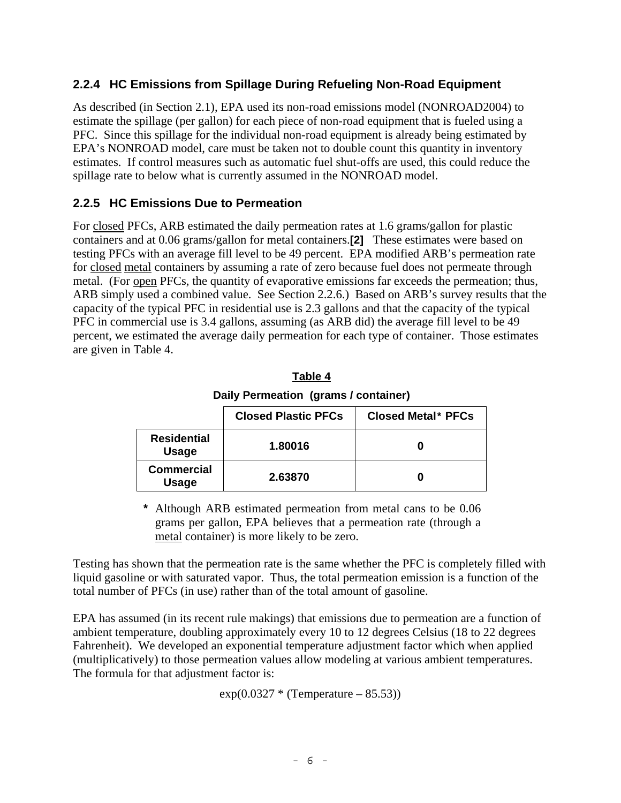### **2.2.4 HC Emissions from Spillage During Refueling Non-Road Equipment**

As described (in Section 2.1), EPA used its non-road emissions model (NONROAD2004) to estimate the spillage (per gallon) for each piece of non-road equipment that is fueled using a PFC. Since this spillage for the individual non-road equipment is already being estimated by EPA's NONROAD model, care must be taken not to double count this quantity in inventory estimates. If control measures such as automatic fuel shut-offs are used, this could reduce the spillage rate to below what is currently assumed in the NONROAD model.

### **2.2.5 HC Emissions Due to Permeation**

For closed PFCs, ARB estimated the daily permeation rates at 1.6 grams/gallon for plastic containers and at 0.06 grams/gallon for metal containers.**[2]** These estimates were based on testing PFCs with an average fill level to be 49 percent. EPA modified ARB's permeation rate for closed metal containers by assuming a rate of zero because fuel does not permeate through metal. (For open PFCs, the quantity of evaporative emissions far exceeds the permeation; thus, ARB simply used a combined value. See Section 2.2.6.) Based on ARB's survey results that the capacity of the typical PFC in residential use is 2.3 gallons and that the capacity of the typical PFC in commercial use is 3.4 gallons, assuming (as ARB did) the average fill level to be 49 percent, we estimated the average daily permeation for each type of container. Those estimates are given in Table 4.

| Daily Permeation (grams / container)             |         |   |  |  |  |  |
|--------------------------------------------------|---------|---|--|--|--|--|
| <b>Closed Plastic PFCs</b><br>Closed Metal* PFCs |         |   |  |  |  |  |
| <b>Residential</b><br>1.80016<br><b>Usage</b>    |         |   |  |  |  |  |
| <b>Commercial</b><br><b>Usage</b>                | 2.63870 | U |  |  |  |  |

**Table 4**

**\*** Although ARB estimated permeation from metal cans to be 0.06 grams per gallon, EPA believes that a permeation rate (through a metal container) is more likely to be zero.

Testing has shown that the permeation rate is the same whether the PFC is completely filled with liquid gasoline or with saturated vapor. Thus, the total permeation emission is a function of the total number of PFCs (in use) rather than of the total amount of gasoline.

EPA has assumed (in its recent rule makings) that emissions due to permeation are a function of ambient temperature, doubling approximately every 10 to 12 degrees Celsius (18 to 22 degrees Fahrenheit). We developed an exponential temperature adjustment factor which when applied (multiplicatively) to those permeation values allow modeling at various ambient temperatures. The formula for that adjustment factor is:

 $exp(0.0327 * (Temperature - 85.53))$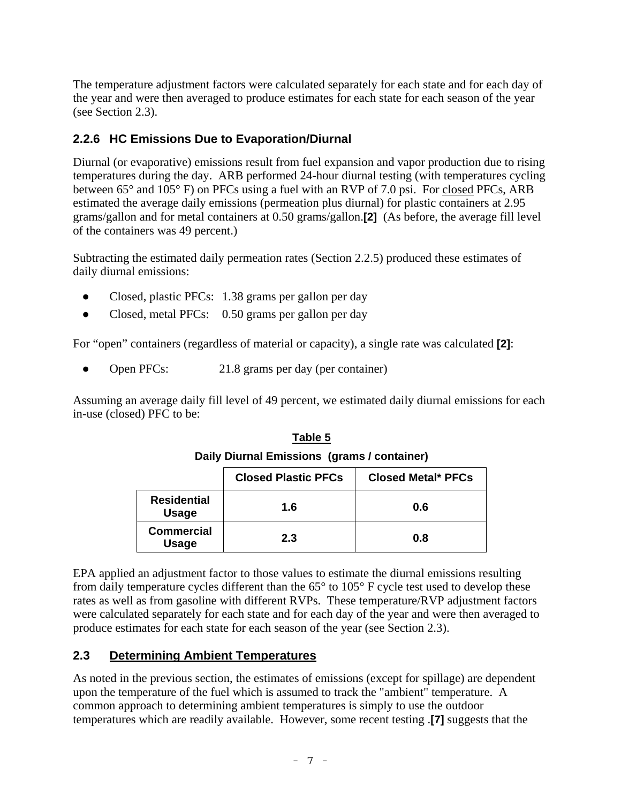The temperature adjustment factors were calculated separately for each state and for each day of the year and were then averaged to produce estimates for each state for each season of the year (see Section 2.3).

# **2.2.6 HC Emissions Due to Evaporation/Diurnal**

Diurnal (or evaporative) emissions result from fuel expansion and vapor production due to rising temperatures during the day. ARB performed 24-hour diurnal testing (with temperatures cycling between 65° and 105° F) on PFCs using a fuel with an RVP of 7.0 psi. For closed PFCs, ARB estimated the average daily emissions (permeation plus diurnal) for plastic containers at 2.95 grams/gallon and for metal containers at 0.50 grams/gallon.**[2]** (As before, the average fill level of the containers was 49 percent.)

Subtracting the estimated daily permeation rates (Section 2.2.5) produced these estimates of daily diurnal emissions:

- Closed, plastic PFCs: 1.38 grams per gallon per day
- Closed, metal PFCs: 0.50 grams per gallon per day

For "open" containers (regardless of material or capacity), a single rate was calculated **[2]**:

• Open PFCs: 21.8 grams per day (per container)

Assuming an average daily fill level of 49 percent, we estimated daily diurnal emissions for each in-use (closed) PFC to be:

| $ \ldots$ , $ \ldots$ , $ \ldots$ , $\ldots$ , $\ldots$ , $\ldots$ , $\ldots$ , $\ldots$ , $\ldots$ |                            |                           |  |  |  |  |
|-----------------------------------------------------------------------------------------------------|----------------------------|---------------------------|--|--|--|--|
|                                                                                                     | <b>Closed Plastic PFCs</b> | <b>Closed Metal* PFCs</b> |  |  |  |  |
| <b>Residential</b><br><b>Usage</b>                                                                  | 1.6                        | 0.6                       |  |  |  |  |
| <b>Commercial</b><br><b>Usage</b>                                                                   | 2.3                        | 0.8                       |  |  |  |  |

**Table 5 Daily Diurnal Emissions (grams / container)** 

EPA applied an adjustment factor to those values to estimate the diurnal emissions resulting from daily temperature cycles different than the 65° to 105° F cycle test used to develop these rates as well as from gasoline with different RVPs. These temperature/RVP adjustment factors were calculated separately for each state and for each day of the year and were then averaged to produce estimates for each state for each season of the year (see Section 2.3).

### **2.3 Determining Ambient Temperatures**

As noted in the previous section, the estimates of emissions (except for spillage) are dependent upon the temperature of the fuel which is assumed to track the "ambient" temperature. A common approach to determining ambient temperatures is simply to use the outdoor temperatures which are readily available. However, some recent testing .**[7]** suggests that the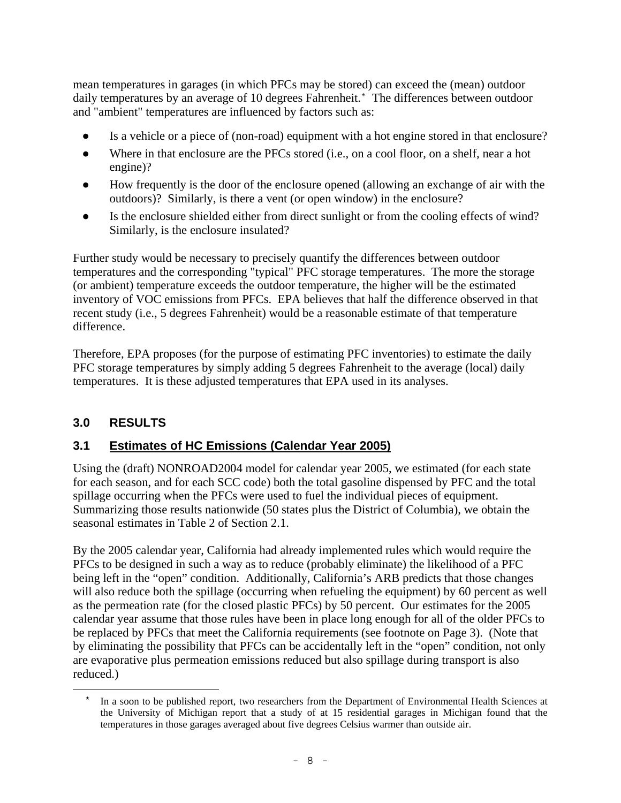mean temperatures in garages (in which PFCs may be stored) can exceed the (mean) outdoor daily temperatures by an average of 10 degrees Fahrenheit.[\\*](#page-9-0) The differences between outdoor and "ambient" temperatures are influenced by factors such as:

- Is a vehicle or a piece of (non-road) equipment with a hot engine stored in that enclosure?
- Where in that enclosure are the PFCs stored (i.e., on a cool floor, on a shelf, near a hot engine)?
- How frequently is the door of the enclosure opened (allowing an exchange of air with the outdoors)? Similarly, is there a vent (or open window) in the enclosure?
- Is the enclosure shielded either from direct sunlight or from the cooling effects of wind? Similarly, is the enclosure insulated?

Further study would be necessary to precisely quantify the differences between outdoor temperatures and the corresponding "typical" PFC storage temperatures. The more the storage (or ambient) temperature exceeds the outdoor temperature, the higher will be the estimated inventory of VOC emissions from PFCs. EPA believes that half the difference observed in that recent study (i.e., 5 degrees Fahrenheit) would be a reasonable estimate of that temperature difference.

Therefore, EPA proposes (for the purpose of estimating PFC inventories) to estimate the daily PFC storage temperatures by simply adding 5 degrees Fahrenheit to the average (local) daily temperatures. It is these adjusted temperatures that EPA used in its analyses.

# **3.0 RESULTS**

### **3.1 Estimates of HC Emissions (Calendar Year 2005)**

Using the (draft) NONROAD2004 model for calendar year 2005, we estimated (for each state for each season, and for each SCC code) both the total gasoline dispensed by PFC and the total spillage occurring when the PFCs were used to fuel the individual pieces of equipment. Summarizing those results nationwide (50 states plus the District of Columbia), we obtain the seasonal estimates in Table 2 of Section 2.1.

By the 2005 calendar year, California had already implemented rules which would require the PFCs to be designed in such a way as to reduce (probably eliminate) the likelihood of a PFC being left in the "open" condition. Additionally, California's ARB predicts that those changes will also reduce both the spillage (occurring when refueling the equipment) by 60 percent as well as the permeation rate (for the closed plastic PFCs) by 50 percent. Our estimates for the 2005 calendar year assume that those rules have been in place long enough for all of the older PFCs to be replaced by PFCs that meet the California requirements (see footnote on Page 3). (Note that by eliminating the possibility that PFCs can be accidentally left in the "open" condition, not only are evaporative plus permeation emissions reduced but also spillage during transport is also reduced.)

<span id="page-9-0"></span>a<br>B In a soon to be published report, two researchers from the Department of Environmental Health Sciences at the University of Michigan report that a study of at 15 residential garages in Michigan found that the temperatures in those garages averaged about five degrees Celsius warmer than outside air.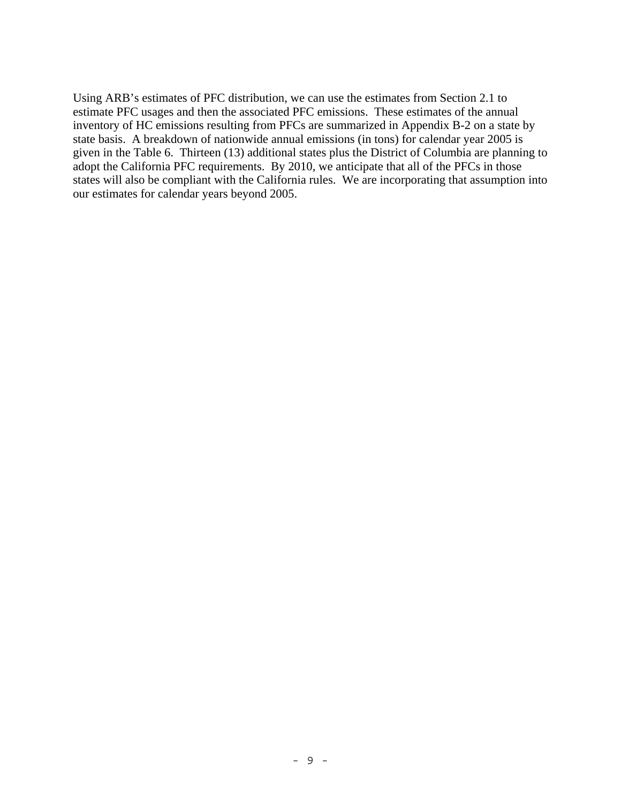Using ARB's estimates of PFC distribution, we can use the estimates from Section 2.1 to estimate PFC usages and then the associated PFC emissions. These estimates of the annual inventory of HC emissions resulting from PFCs are summarized in Appendix B-2 on a state by state basis. A breakdown of nationwide annual emissions (in tons) for calendar year 2005 is given in the Table 6. Thirteen (13) additional states plus the District of Columbia are planning to adopt the California PFC requirements. By 2010, we anticipate that all of the PFCs in those states will also be compliant with the California rules. We are incorporating that assumption into our estimates for calendar years beyond 2005.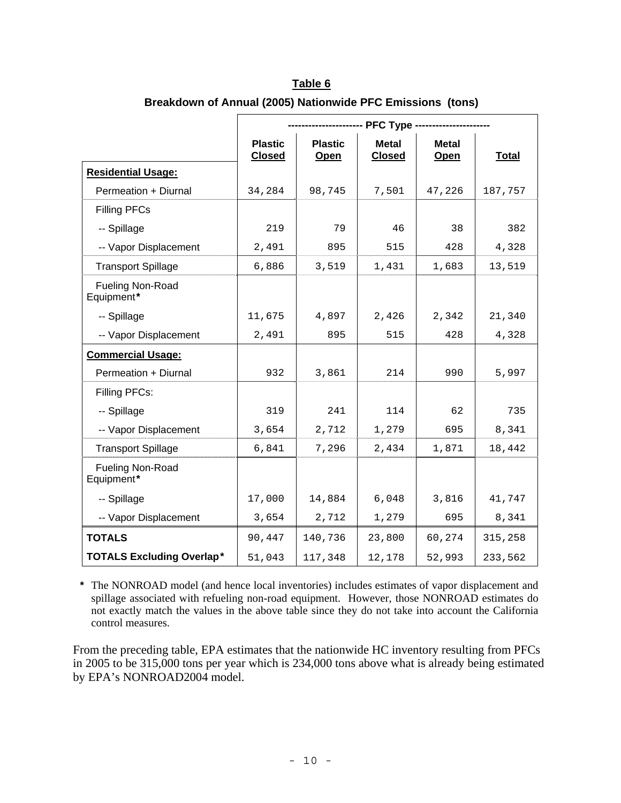|                                       | -- PFC Type                     |                        |                               |                      |              |  |
|---------------------------------------|---------------------------------|------------------------|-------------------------------|----------------------|--------------|--|
|                                       | <b>Plastic</b><br><b>Closed</b> | <b>Plastic</b><br>Open | <b>Metal</b><br><b>Closed</b> | <b>Metal</b><br>Open | <b>Total</b> |  |
| <b>Residential Usage:</b>             |                                 |                        |                               |                      |              |  |
| Permeation + Diurnal                  | 34,284                          | 98,745                 | 7,501                         | 47,226               | 187,757      |  |
| <b>Filling PFCs</b>                   |                                 |                        |                               |                      |              |  |
| -- Spillage                           | 219                             | 79                     | 46                            | 38                   | 382          |  |
| -- Vapor Displacement                 | 2,491                           | 895                    | 515                           | 428                  | 4,328        |  |
| <b>Transport Spillage</b>             | 6,886                           | 3,519                  | 1,431                         | 1,683                | 13,519       |  |
| <b>Fueling Non-Road</b><br>Equipment* |                                 |                        |                               |                      |              |  |
| -- Spillage                           | 11,675                          | 4,897                  | 2,426                         | 2,342                | 21,340       |  |
| -- Vapor Displacement                 | 2,491                           | 895                    | 515                           | 428                  | 4,328        |  |
| <b>Commercial Usage:</b>              |                                 |                        |                               |                      |              |  |
| Permeation + Diurnal                  | 932                             | 3,861                  | 214                           | 990                  | 5,997        |  |
| Filling PFCs:                         |                                 |                        |                               |                      |              |  |
| -- Spillage                           | 319                             | 241                    | 114                           | 62                   | 735          |  |
| -- Vapor Displacement                 | 3,654                           | 2,712                  | 1,279                         | 695                  | 8,341        |  |
| <b>Transport Spillage</b>             | 6,841                           | 7,296                  | 2,434                         | 1,871                | 18,442       |  |
| Fueling Non-Road<br>Equipment*        |                                 |                        |                               |                      |              |  |
| -- Spillage                           | 17,000                          | 14,884                 | 6,048                         | 3,816                | 41,747       |  |
| -- Vapor Displacement                 | 3,654                           | 2,712                  | 1,279                         | 695                  | 8,341        |  |
| <b>TOTALS</b>                         | 90,447                          | 140,736                | 23,800                        | 60,274               | 315,258      |  |
| <b>TOTALS Excluding Overlap*</b>      | 51,043                          | 117,348                | 12,178                        | 52,993               | 233,562      |  |

| Table 6                                                    |  |
|------------------------------------------------------------|--|
| Breakdown of Annual (2005) Nationwide PFC Emissions (tons) |  |

 **\*** The NONROAD model (and hence local inventories) includes estimates of vapor displacement and spillage associated with refueling non-road equipment. However, those NONROAD estimates do not exactly match the values in the above table since they do not take into account the California control measures.

From the preceding table, EPA estimates that the nationwide HC inventory resulting from PFCs in 2005 to be 315,000 tons per year which is 234,000 tons above what is already being estimated by EPA's NONROAD2004 model.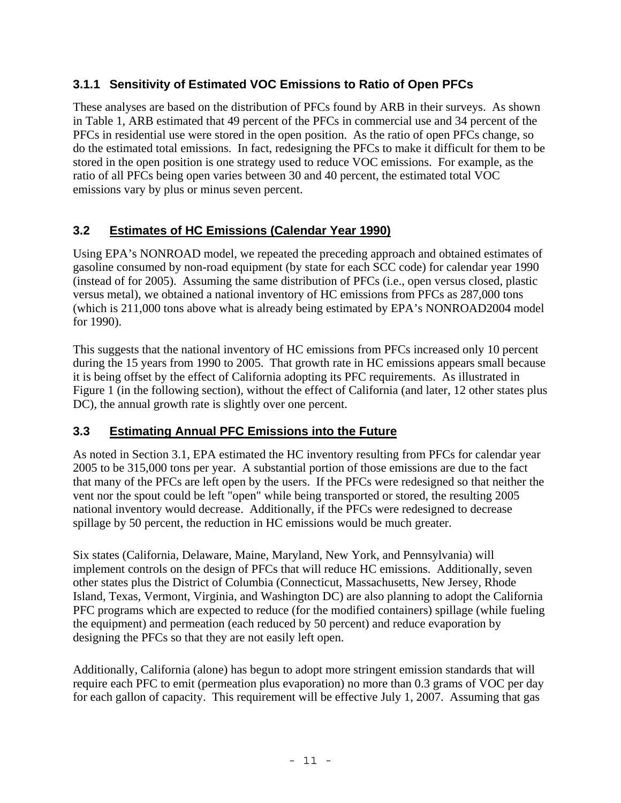# **3.1.1 Sensitivity of Estimated VOC Emissions to Ratio of Open PFCs**

These analyses are based on the distribution of PFCs found by ARB in their surveys. As shown in Table 1, ARB estimated that 49 percent of the PFCs in commercial use and 34 percent of the PFCs in residential use were stored in the open position. As the ratio of open PFCs change, so do the estimated total emissions. In fact, redesigning the PFCs to make it difficult for them to be stored in the open position is one strategy used to reduce VOC emissions. For example, as the ratio of all PFCs being open varies between 30 and 40 percent, the estimated total VOC emissions vary by plus or minus seven percent.

# **3.2 Estimates of HC Emissions (Calendar Year 1990)**

Using EPA's NONROAD model, we repeated the preceding approach and obtained estimates of gasoline consumed by non-road equipment (by state for each SCC code) for calendar year 1990 (instead of for 2005). Assuming the same distribution of PFCs (i.e., open versus closed, plastic versus metal), we obtained a national inventory of HC emissions from PFCs as 287,000 tons (which is 211,000 tons above what is already being estimated by EPA's NONROAD2004 model for 1990).

This suggests that the national inventory of HC emissions from PFCs increased only 10 percent during the 15 years from 1990 to 2005. That growth rate in HC emissions appears small because it is being offset by the effect of California adopting its PFC requirements. As illustrated in Figure 1 (in the following section), without the effect of California (and later, 12 other states plus DC), the annual growth rate is slightly over one percent.

### **3.3 Estimating Annual PFC Emissions into the Future**

As noted in Section 3.1, EPA estimated the HC inventory resulting from PFCs for calendar year 2005 to be 315,000 tons per year. A substantial portion of those emissions are due to the fact that many of the PFCs are left open by the users. If the PFCs were redesigned so that neither the vent nor the spout could be left "open" while being transported or stored, the resulting 2005 national inventory would decrease. Additionally, if the PFCs were redesigned to decrease spillage by 50 percent, the reduction in HC emissions would be much greater.

Six states (California, Delaware, Maine, Maryland, New York, and Pennsylvania) will implement controls on the design of PFCs that will reduce HC emissions. Additionally, seven other states plus the District of Columbia (Connecticut, Massachusetts, New Jersey, Rhode Island, Texas, Vermont, Virginia, and Washington DC) are also planning to adopt the California PFC programs which are expected to reduce (for the modified containers) spillage (while fueling the equipment) and permeation (each reduced by 50 percent) and reduce evaporation by designing the PFCs so that they are not easily left open.

Additionally, California (alone) has begun to adopt more stringent emission standards that will require each PFC to emit (permeation plus evaporation) no more than 0.3 grams of VOC per day for each gallon of capacity. This requirement will be effective July 1, 2007. Assuming that gas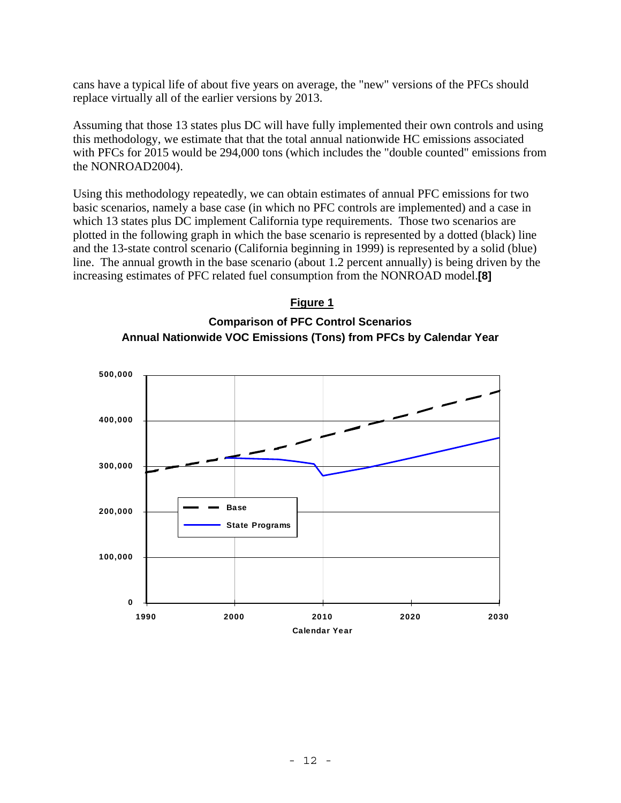cans have a typical life of about five years on average, the "new" versions of the PFCs should replace virtually all of the earlier versions by 2013.

Assuming that those 13 states plus DC will have fully implemented their own controls and using this methodology, we estimate that that the total annual nationwide HC emissions associated with PFCs for 2015 would be 294,000 tons (which includes the "double counted" emissions from the NONROAD2004).

Using this methodology repeatedly, we can obtain estimates of annual PFC emissions for two basic scenarios, namely a base case (in which no PFC controls are implemented) and a case in which 13 states plus DC implement California type requirements. Those two scenarios are plotted in the following graph in which the base scenario is represented by a dotted (black) line and the 13-state control scenario (California beginning in 1999) is represented by a solid (blue) line. The annual growth in the base scenario (about 1.2 percent annually) is being driven by the increasing estimates of PFC related fuel consumption from the NONROAD model.**[8]**



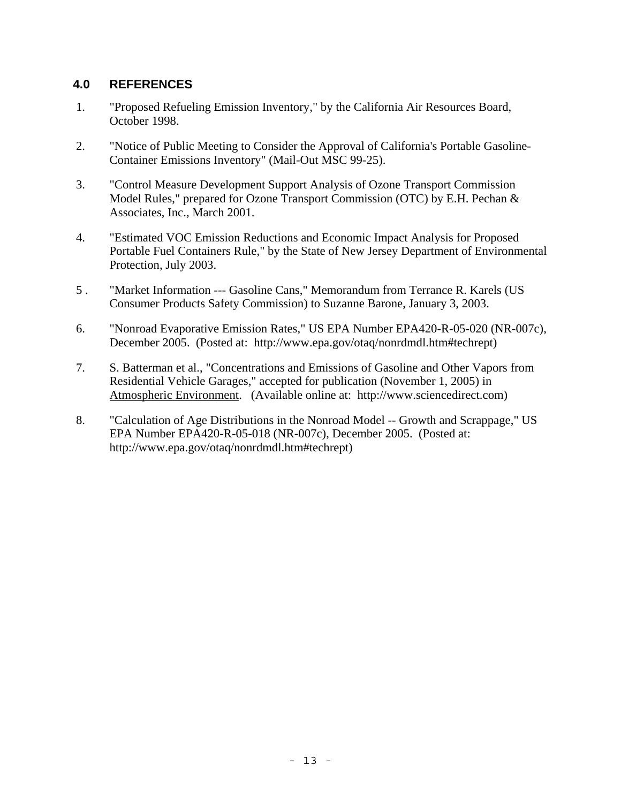### **4.0 REFERENCES**

- 1. "Proposed Refueling Emission Inventory," by the California Air Resources Board, October 1998.
- 2. "Notice of Public Meeting to Consider the Approval of California's Portable Gasoline-Container Emissions Inventory" (Mail-Out MSC 99-25).
- 3. "Control Measure Development Support Analysis of Ozone Transport Commission Model Rules," prepared for Ozone Transport Commission (OTC) by E.H. Pechan & Associates, Inc., March 2001.
- 4. "Estimated VOC Emission Reductions and Economic Impact Analysis for Proposed Portable Fuel Containers Rule," by the State of New Jersey Department of Environmental Protection, July 2003.
- 5 . "Market Information --- Gasoline Cans," Memorandum from Terrance R. Karels (US Consumer Products Safety Commission) to Suzanne Barone, January 3, 2003.
- 6. "Nonroad Evaporative Emission Rates," US EPA Number EPA420-R-05-020 (NR-007c), December 2005. (Posted at: http://www.epa.gov/otaq/nonrdmdl.htm#techrept)
- 7. S. Batterman et al., "Concentrations and Emissions of Gasoline and Other Vapors from Residential Vehicle Garages," accepted for publication (November 1, 2005) in Atmospheric Environment. (Available online at: http://www.sciencedirect.com)
- 8. "Calculation of Age Distributions in the Nonroad Model -- Growth and Scrappage," US EPA Number EPA420-R-05-018 (NR-007c), December 2005. (Posted at: http://www.epa.gov/otaq/nonrdmdl.htm#techrept)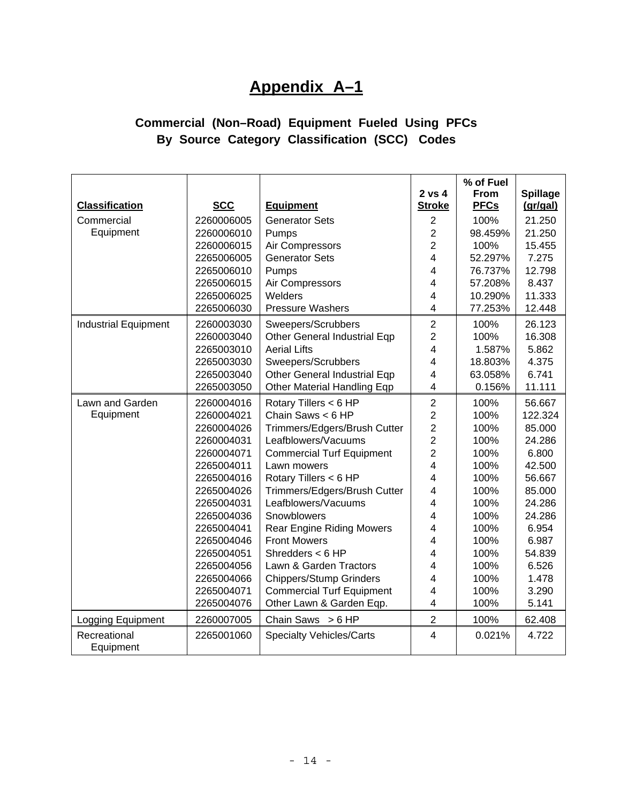# **Appendix A–1**

# **Commercial (Non–Road) Equipment Fueled Using PFCs By Source Category Classification (SCC) Codes**

| <b>Classification</b>       | <b>SCC</b> | <b>Equipment</b>                 | 2 vs 4<br><b>Stroke</b> | % of Fuel<br><b>From</b><br><b>PFCs</b> | <b>Spillage</b><br>(gr/gal) |
|-----------------------------|------------|----------------------------------|-------------------------|-----------------------------------------|-----------------------------|
| Commercial                  | 2260006005 | <b>Generator Sets</b>            | $\overline{2}$          | 100%                                    | 21.250                      |
| Equipment                   | 2260006010 | Pumps                            | $\overline{2}$          | 98.459%                                 | 21.250                      |
|                             | 2260006015 | Air Compressors                  | $\overline{2}$          | 100%                                    | 15.455                      |
|                             | 2265006005 | <b>Generator Sets</b>            | $\overline{4}$          | 52.297%                                 | 7.275                       |
|                             | 2265006010 | Pumps                            | 4                       | 76.737%                                 | 12.798                      |
|                             | 2265006015 | Air Compressors                  | 4                       | 57.208%                                 | 8.437                       |
|                             | 2265006025 | Welders                          | 4                       | 10.290%                                 | 11.333                      |
|                             | 2265006030 | <b>Pressure Washers</b>          | $\overline{4}$          | 77.253%                                 | 12.448                      |
| <b>Industrial Equipment</b> | 2260003030 | Sweepers/Scrubbers               | $\overline{c}$          | 100%                                    | 26.123                      |
|                             | 2260003040 | Other General Industrial Eqp     | $\overline{2}$          | 100%                                    | 16.308                      |
|                             | 2265003010 | <b>Aerial Lifts</b>              | 4                       | 1.587%                                  | 5.862                       |
|                             | 2265003030 | Sweepers/Scrubbers               | 4                       | 18.803%                                 | 4.375                       |
|                             | 2265003040 | Other General Industrial Eqp     | 4                       | 63.058%                                 | 6.741                       |
|                             | 2265003050 | Other Material Handling Eqp      | 4                       | 0.156%                                  | 11.111                      |
| Lawn and Garden             | 2260004016 | Rotary Tillers < 6 HP            | $\mathbf 2$             | 100%                                    | 56.667                      |
| Equipment                   | 2260004021 | Chain Saws $< 6$ HP              | $\overline{c}$          | 100%                                    | 122.324                     |
|                             | 2260004026 | Trimmers/Edgers/Brush Cutter     | $\overline{c}$          | 100%                                    | 85.000                      |
|                             | 2260004031 | Leafblowers/Vacuums              | $\overline{2}$          | 100%                                    | 24.286                      |
|                             | 2260004071 | <b>Commercial Turf Equipment</b> | $\overline{2}$          | 100%                                    | 6.800                       |
|                             | 2265004011 | Lawn mowers                      | 4                       | 100%                                    | 42.500                      |
|                             | 2265004016 | Rotary Tillers < 6 HP            | 4                       | 100%                                    | 56.667                      |
|                             | 2265004026 | Trimmers/Edgers/Brush Cutter     | 4                       | 100%                                    | 85.000                      |
|                             | 2265004031 | Leafblowers/Vacuums              | 4                       | 100%                                    | 24.286                      |
|                             | 2265004036 | Snowblowers                      | 4                       | 100%                                    | 24.286                      |
|                             | 2265004041 | <b>Rear Engine Riding Mowers</b> | 4                       | 100%                                    | 6.954                       |
|                             | 2265004046 | <b>Front Mowers</b>              | 4                       | 100%                                    | 6.987                       |
|                             | 2265004051 | Shredders $<$ 6 HP               | 4                       | 100%                                    | 54.839                      |
|                             | 2265004056 | Lawn & Garden Tractors           | 4                       | 100%                                    | 6.526                       |
|                             | 2265004066 | <b>Chippers/Stump Grinders</b>   | $\overline{4}$          | 100%                                    | 1.478                       |
|                             | 2265004071 | <b>Commercial Turf Equipment</b> | 4                       | 100%                                    | 3.290                       |
|                             | 2265004076 | Other Lawn & Garden Eqp.         | 4                       | 100%                                    | 5.141                       |
| Logging Equipment           | 2260007005 | Chain Saws $> 6$ HP              | $\overline{2}$          | 100%                                    | 62.408                      |
| Recreational<br>Equipment   | 2265001060 | <b>Specialty Vehicles/Carts</b>  | $\overline{\mathbf{4}}$ | 0.021%                                  | 4.722                       |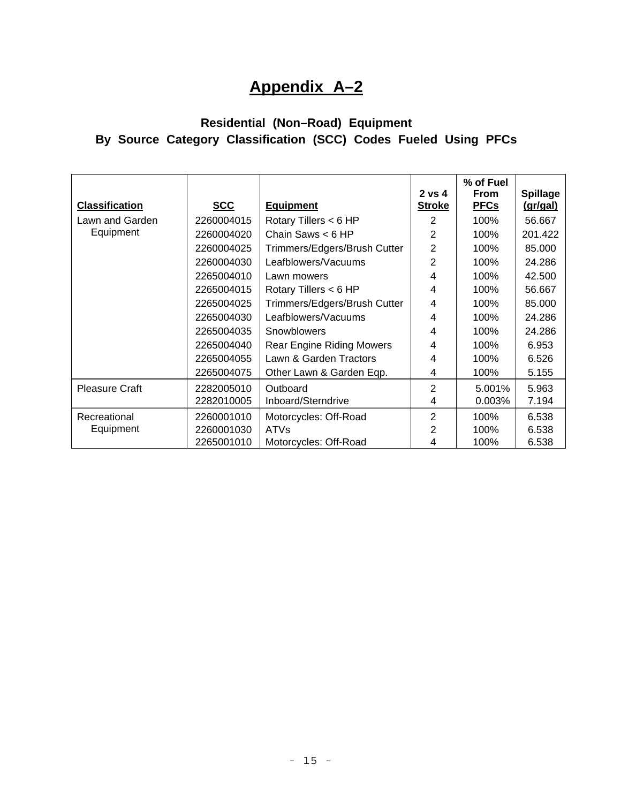# **Appendix A–2**

# **Residential (Non–Road) Equipment By Source Category Classification (SCC) Codes Fueled Using PFCs**

| <b>Classification</b> | <b>SCC</b> | <b>Equipment</b>                 | $2 \text{ vs } 4$<br><b>Stroke</b> | % of Fuel<br><b>From</b><br><b>PFCs</b> | <b>Spillage</b><br>(gr/gal) |
|-----------------------|------------|----------------------------------|------------------------------------|-----------------------------------------|-----------------------------|
| Lawn and Garden       | 2260004015 | Rotary Tillers < 6 HP            | 2                                  | 100%                                    | 56.667                      |
| Equipment             | 2260004020 | Chain Saws $<$ 6 HP              | 2                                  | 100%                                    | 201.422                     |
|                       | 2260004025 | Trimmers/Edgers/Brush Cutter     | $\overline{2}$                     | 100%                                    | 85.000                      |
|                       | 2260004030 | Leafblowers/Vacuums              | 2                                  | 100%                                    | 24.286                      |
|                       | 2265004010 | Lawn mowers                      | $\overline{4}$                     | 100%                                    | 42.500                      |
|                       | 2265004015 | Rotary Tillers < 6 HP            | 4                                  | 100%                                    | 56.667                      |
|                       | 2265004025 | Trimmers/Edgers/Brush Cutter     | 4                                  | 100%                                    | 85.000                      |
|                       | 2265004030 | Leafblowers/Vacuums              | 4                                  | 100%                                    | 24.286                      |
|                       | 2265004035 | Snowblowers                      | $\overline{4}$                     | 100%                                    | 24.286                      |
|                       | 2265004040 | <b>Rear Engine Riding Mowers</b> | 4                                  | 100%                                    | 6.953                       |
|                       | 2265004055 | Lawn & Garden Tractors           | 4                                  | 100%                                    | 6.526                       |
|                       | 2265004075 | Other Lawn & Garden Eqp.         | 4                                  | 100%                                    | 5.155                       |
| <b>Pleasure Craft</b> | 2282005010 | Outboard                         | $\overline{2}$                     | 5.001%                                  | 5.963                       |
|                       | 2282010005 | Inboard/Sterndrive               | 4                                  | 0.003%                                  | 7.194                       |
| Recreational          | 2260001010 | Motorcycles: Off-Road            | $\overline{2}$                     | 100%                                    | 6.538                       |
| Equipment             | 2260001030 | <b>ATVs</b>                      | 2                                  | 100%                                    | 6.538                       |
|                       | 2265001010 | Motorcycles: Off-Road            | 4                                  | 100%                                    | 6.538                       |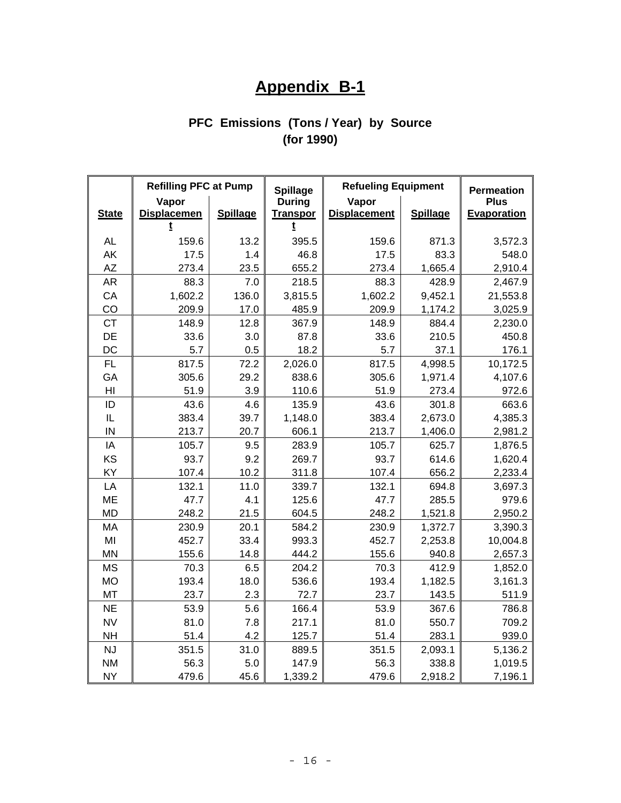# **Appendix B-1**

# **PFC Emissions (Tons / Year) by Source (for 1990)**

|                 | <b>Refilling PFC at Pump</b> |                 | <b>Spillage</b>                  | <b>Refueling Equipment</b>   |                 | <b>Permeation</b>          |
|-----------------|------------------------------|-----------------|----------------------------------|------------------------------|-----------------|----------------------------|
| <b>State</b>    | Vapor<br><b>Displacemen</b>  | <b>Spillage</b> | <b>During</b><br><b>Transpor</b> | Vapor<br><b>Displacement</b> | <b>Spillage</b> | <b>Plus</b><br>Evaporation |
|                 |                              |                 |                                  |                              |                 |                            |
| <b>AL</b>       | 159.6                        | 13.2            | 395.5                            | 159.6                        | 871.3           | 3,572.3                    |
| AK              | 17.5                         | 1.4             | 46.8                             | 17.5                         | 83.3            | 548.0                      |
| <b>AZ</b>       | 273.4                        | 23.5            | 655.2                            | 273.4                        | 1,665.4         | 2,910.4                    |
| AR              | 88.3                         | 7.0             | 218.5                            | 88.3                         | 428.9           | 2,467.9                    |
| CA              | 1,602.2                      | 136.0           | 3,815.5                          | 1,602.2                      | 9,452.1         | 21,553.8                   |
| CO              | 209.9                        | 17.0            | 485.9                            | 209.9                        | 1,174.2         | 3,025.9                    |
| <b>CT</b>       | 148.9                        | 12.8            | 367.9                            | 148.9                        | 884.4           | 2,230.0                    |
| DE              | 33.6                         | 3.0             | 87.8                             | 33.6                         | 210.5           | 450.8                      |
| DC              | 5.7                          | 0.5             | 18.2                             | 5.7                          | 37.1            | 176.1                      |
| <b>FL</b>       | 817.5                        | 72.2            | 2,026.0                          | 817.5                        | 4,998.5         | 10,172.5                   |
| GA              | 305.6                        | 29.2            | 838.6                            | 305.6                        | 1,971.4         | 4,107.6                    |
| H <sub>II</sub> | 51.9                         | 3.9             | 110.6                            | 51.9                         | 273.4           | 972.6                      |
| ID              | 43.6                         | 4.6             | 135.9                            | 43.6                         | 301.8           | 663.6                      |
| IL              | 383.4                        | 39.7            | 1,148.0                          | 383.4                        | 2,673.0         | 4,385.3                    |
| IN              | 213.7                        | 20.7            | 606.1                            | 213.7                        | 1,406.0         | 2,981.2                    |
| IA              | 105.7                        | 9.5             | 283.9                            | 105.7                        | 625.7           | 1,876.5                    |
| KS              | 93.7                         | 9.2             | 269.7                            | 93.7                         | 614.6           | 1,620.4                    |
| KY              | 107.4                        | 10.2            | 311.8                            | 107.4                        | 656.2           | 2,233.4                    |
| LA              | 132.1                        | 11.0            | 339.7                            | 132.1                        | 694.8           | 3,697.3                    |
| <b>ME</b>       | 47.7                         | 4.1             | 125.6                            | 47.7                         | 285.5           | 979.6                      |
| <b>MD</b>       | 248.2                        | 21.5            | 604.5                            | 248.2                        | 1,521.8         | 2,950.2                    |
| MA              | 230.9                        | 20.1            | 584.2                            | 230.9                        | 1,372.7         | 3,390.3                    |
| MI              | 452.7                        | 33.4            | 993.3                            | 452.7                        | 2,253.8         | 10,004.8                   |
| <b>MN</b>       | 155.6                        | 14.8            | 444.2                            | 155.6                        | 940.8           | 2,657.3                    |
| <b>MS</b>       | 70.3                         | 6.5             | 204.2                            | 70.3                         | 412.9           | 1,852.0                    |
| <b>MO</b>       | 193.4                        | 18.0            | 536.6                            | 193.4                        | 1,182.5         | 3,161.3                    |
| <b>MT</b>       | 23.7                         | 2.3             | 72.7                             | 23.7                         | 143.5           | 511.9                      |
| <b>NE</b>       | 53.9                         | 5.6             | 166.4                            | 53.9                         | 367.6           | 786.8                      |
| <b>NV</b>       | 81.0                         | 7.8             | 217.1                            | 81.0                         | 550.7           | 709.2                      |
| <b>NH</b>       | 51.4                         | 4.2             | 125.7                            | 51.4                         | 283.1           | 939.0                      |
| <b>NJ</b>       | 351.5                        | 31.0            | 889.5                            | 351.5                        | 2,093.1         | 5,136.2                    |
| <b>NM</b>       | 56.3                         | 5.0             | 147.9                            | 56.3                         | 338.8           | 1,019.5                    |
| <b>NY</b>       | 479.6                        | 45.6            | 1,339.2                          | 479.6                        | 2,918.2         | 7,196.1                    |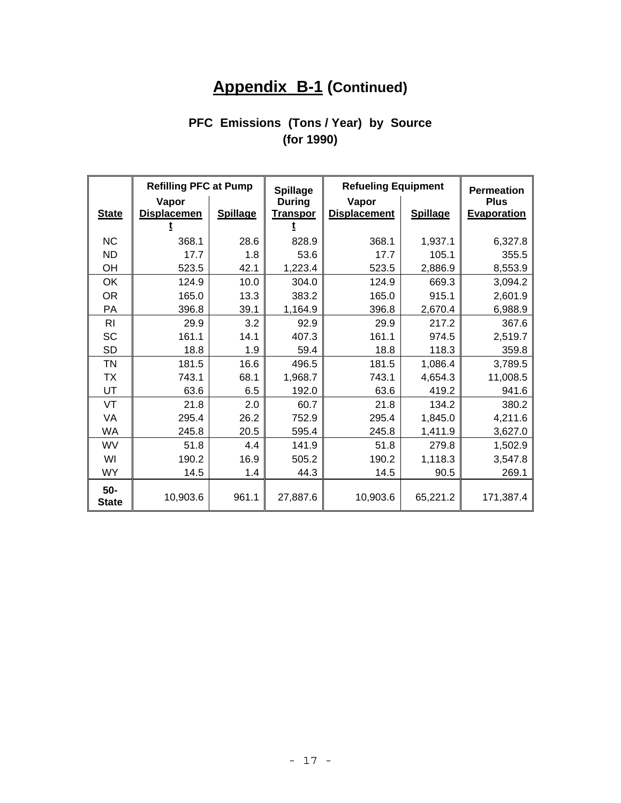# **Appendix B-1 (Continued)**

# **PFC Emissions (Tons / Year) by Source (for 1990)**

|                     | <b>Refilling PFC at Pump</b> |                 | <b>Spillage</b>                  | <b>Refueling Equipment</b>   |                 | <b>Permeation</b>                 |
|---------------------|------------------------------|-----------------|----------------------------------|------------------------------|-----------------|-----------------------------------|
| <b>State</b>        | Vapor<br><b>Displacemen</b>  | <b>Spillage</b> | <b>During</b><br><b>Transpor</b> | Vapor<br><b>Displacement</b> | <b>Spillage</b> | <b>Plus</b><br><b>Evaporation</b> |
|                     |                              |                 |                                  |                              |                 |                                   |
| <b>NC</b>           | 368.1                        | 28.6            | 828.9                            | 368.1                        | 1,937.1         | 6,327.8                           |
| <b>ND</b>           | 17.7                         | 1.8             | 53.6                             | 17.7                         | 105.1           | 355.5                             |
| OH                  | 523.5                        | 42.1            | 1,223.4                          | 523.5                        | 2,886.9         | 8,553.9                           |
| OK                  | 124.9                        | 10.0            | 304.0                            | 124.9                        | 669.3           | 3,094.2                           |
| <b>OR</b>           | 165.0                        | 13.3            | 383.2                            | 165.0                        | 915.1           | 2,601.9                           |
| PA                  | 396.8                        | 39.1            | 1,164.9                          | 396.8                        | 2,670.4         | 6,988.9                           |
| R <sub>l</sub>      | 29.9                         | 3.2             | 92.9                             | 29.9                         | 217.2           | 367.6                             |
| <b>SC</b>           | 161.1                        | 14.1            | 407.3                            | 161.1                        | 974.5           | 2,519.7                           |
| <b>SD</b>           | 18.8                         | 1.9             | 59.4                             | 18.8                         | 118.3           | 359.8                             |
| <b>TN</b>           | 181.5                        | 16.6            | 496.5                            | 181.5                        | 1,086.4         | 3,789.5                           |
| <b>TX</b>           | 743.1                        | 68.1            | 1,968.7                          | 743.1                        | 4,654.3         | 11,008.5                          |
| UT                  | 63.6                         | 6.5             | 192.0                            | 63.6                         | 419.2           | 941.6                             |
| VT                  | 21.8                         | 2.0             | 60.7                             | 21.8                         | 134.2           | 380.2                             |
| VA                  | 295.4                        | 26.2            | 752.9                            | 295.4                        | 1,845.0         | 4,211.6                           |
| <b>WA</b>           | 245.8                        | 20.5            | 595.4                            | 245.8                        | 1,411.9         | 3,627.0                           |
| WV                  | 51.8                         | 4.4             | 141.9                            | 51.8                         | 279.8           | 1,502.9                           |
| WI                  | 190.2                        | 16.9            | 505.2                            | 190.2                        | 1,118.3         | 3,547.8                           |
| <b>WY</b>           | 14.5                         | 1.4             | 44.3                             | 14.5                         | 90.5            | 269.1                             |
| 50-<br><b>State</b> | 10,903.6                     | 961.1           | 27,887.6                         | 10,903.6                     | 65,221.2        | 171,387.4                         |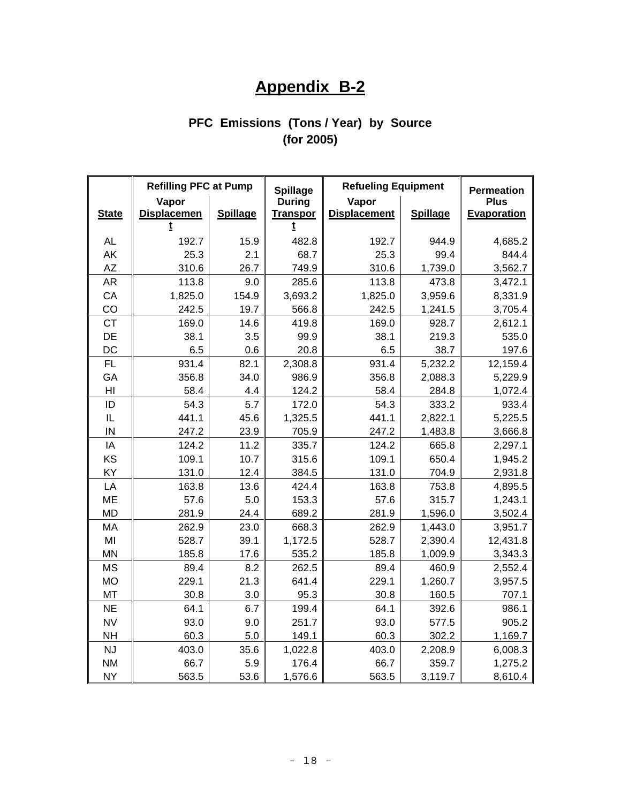# **Appendix B-2**

# **PFC Emissions (Tons / Year) by Source (for 2005)**

|                | <b>Refilling PFC at Pump</b> |                 | <b>Spillage</b>                  | <b>Refueling Equipment</b>   |                 | <b>Permeation</b>          |
|----------------|------------------------------|-----------------|----------------------------------|------------------------------|-----------------|----------------------------|
| <b>State</b>   | Vapor<br><b>Displacemen</b>  | <b>Spillage</b> | <b>During</b><br><b>Transpor</b> | Vapor<br><b>Displacement</b> | <b>Spillage</b> | <b>Plus</b><br>Evaporation |
|                |                              |                 |                                  |                              |                 |                            |
| AL             | 192.7                        | 15.9            | 482.8                            | 192.7                        | 944.9           | 4,685.2                    |
| AK             | 25.3                         | 2.1             | 68.7                             | 25.3                         | 99.4            | 844.4                      |
| <b>AZ</b>      | 310.6                        | 26.7            | 749.9                            | 310.6                        | 1,739.0         | 3,562.7                    |
| AR             | 113.8                        | 9.0             | 285.6                            | 113.8                        | 473.8           | 3,472.1                    |
| CA             | 1,825.0                      | 154.9           | 3,693.2                          | 1,825.0                      | 3,959.6         | 8,331.9                    |
| CO             | 242.5                        | 19.7            | 566.8                            | 242.5                        | 1,241.5         | 3,705.4                    |
| <b>CT</b>      | 169.0                        | 14.6            | 419.8                            | 169.0                        | 928.7           | 2,612.1                    |
| DE             | 38.1                         | 3.5             | 99.9                             | 38.1                         | 219.3           | 535.0                      |
| DC             | 6.5                          | 0.6             | 20.8                             | 6.5                          | 38.7            | 197.6                      |
| <b>FL</b>      | 931.4                        | 82.1            | 2,308.8                          | 931.4                        | 5,232.2         | 12,159.4                   |
| GA             | 356.8                        | 34.0            | 986.9                            | 356.8                        | 2,088.3         | 5,229.9                    |
| H <sub>l</sub> | 58.4                         | 4.4             | 124.2                            | 58.4                         | 284.8           | 1,072.4                    |
| ID             | 54.3                         | 5.7             | 172.0                            | 54.3                         | 333.2           | 933.4                      |
| IL             | 441.1                        | 45.6            | 1,325.5                          | 441.1                        | 2,822.1         | 5,225.5                    |
| IN             | 247.2                        | 23.9            | 705.9                            | 247.2                        | 1,483.8         | 3,666.8                    |
| IA             | 124.2                        | 11.2            | 335.7                            | 124.2                        | 665.8           | 2,297.1                    |
| KS             | 109.1                        | 10.7            | 315.6                            | 109.1                        | 650.4           | 1,945.2                    |
| KY             | 131.0                        | 12.4            | 384.5                            | 131.0                        | 704.9           | 2,931.8                    |
| LA             | 163.8                        | 13.6            | 424.4                            | 163.8                        | 753.8           | 4,895.5                    |
| <b>ME</b>      | 57.6                         | 5.0             | 153.3                            | 57.6                         | 315.7           | 1,243.1                    |
| <b>MD</b>      | 281.9                        | 24.4            | 689.2                            | 281.9                        | 1,596.0         | 3,502.4                    |
| MA             | 262.9                        | 23.0            | 668.3                            | 262.9                        | 1,443.0         | 3,951.7                    |
| MI             | 528.7                        | 39.1            | 1,172.5                          | 528.7                        | 2,390.4         | 12,431.8                   |
| <b>MN</b>      | 185.8                        | 17.6            | 535.2                            | 185.8                        | 1,009.9         | 3,343.3                    |
| <b>MS</b>      | 89.4                         | 8.2             | 262.5                            | 89.4                         | 460.9           | 2,552.4                    |
| <b>MO</b>      | 229.1                        | 21.3            | 641.4                            | 229.1                        | 1,260.7         | 3,957.5                    |
| <b>MT</b>      | 30.8                         | 3.0             | 95.3                             | 30.8                         | 160.5           | 707.1                      |
| <b>NE</b>      | 64.1                         | 6.7             | 199.4                            | 64.1                         | 392.6           | 986.1                      |
| <b>NV</b>      | 93.0                         | 9.0             | 251.7                            | 93.0                         | 577.5           | 905.2                      |
| <b>NH</b>      | 60.3                         | 5.0             | 149.1                            | 60.3                         | 302.2           | 1,169.7                    |
| <b>NJ</b>      | 403.0                        | 35.6            | 1,022.8                          | 403.0                        | 2,208.9         | 6,008.3                    |
| <b>NM</b>      | 66.7                         | 5.9             | 176.4                            | 66.7                         | 359.7           | 1,275.2                    |
| <b>NY</b>      | 563.5                        | 53.6            | 1,576.6                          | 563.5                        | 3,119.7         | 8,610.4                    |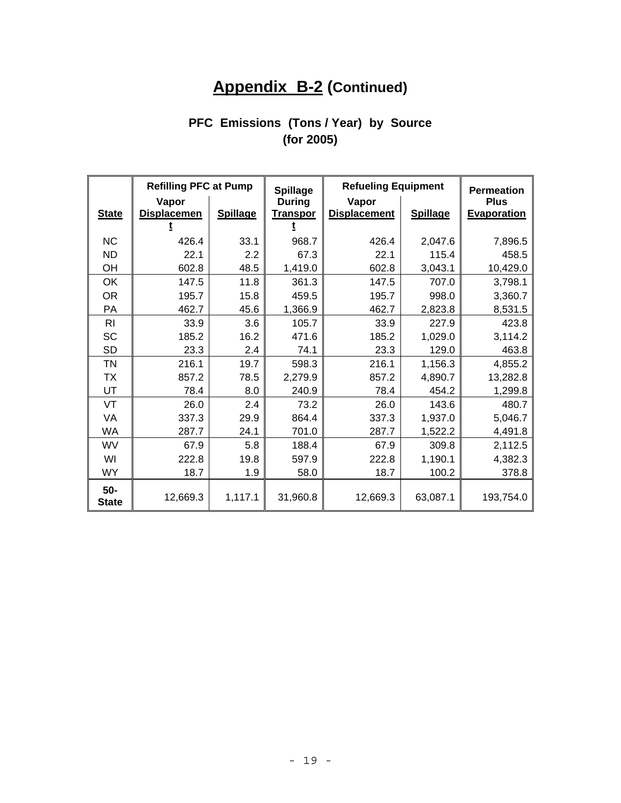# **Appendix B-2 (Continued)**

# **PFC Emissions (Tons / Year) by Source (for 2005)**

|                     | <b>Refilling PFC at Pump</b> |                 | <b>Spillage</b> | <b>Refueling Equipment</b> |                 | <b>Permeation</b>  |
|---------------------|------------------------------|-----------------|-----------------|----------------------------|-----------------|--------------------|
|                     | Vapor                        |                 | <b>During</b>   | Vapor                      |                 | <b>Plus</b>        |
| <b>State</b>        | <b>Displacemen</b>           | <b>Spillage</b> | <b>Transpor</b> | <b>Displacement</b>        | <b>Spillage</b> | <b>Evaporation</b> |
|                     |                              |                 |                 |                            |                 |                    |
| <b>NC</b>           | 426.4                        | 33.1            | 968.7           | 426.4                      | 2,047.6         | 7,896.5            |
| <b>ND</b>           | 22.1                         | 2.2             | 67.3            | 22.1                       | 115.4           | 458.5              |
| OH                  | 602.8                        | 48.5            | 1,419.0         | 602.8                      | 3,043.1         | 10,429.0           |
| OK                  | 147.5                        | 11.8            | 361.3           | 147.5                      | 707.0           | 3,798.1            |
| <b>OR</b>           | 195.7                        | 15.8            | 459.5           | 195.7                      | 998.0           | 3,360.7            |
| <b>PA</b>           | 462.7                        | 45.6            | 1,366.9         | 462.7                      | 2,823.8         | 8,531.5            |
| <b>RI</b>           | 33.9                         | 3.6             | 105.7           | 33.9                       | 227.9           | 423.8              |
| SC                  | 185.2                        | 16.2            | 471.6           | 185.2                      | 1,029.0         | 3,114.2            |
| <b>SD</b>           | 23.3                         | 2.4             | 74.1            | 23.3                       | 129.0           | 463.8              |
| TN                  | 216.1                        | 19.7            | 598.3           | 216.1                      | 1,156.3         | 4,855.2            |
| ТX                  | 857.2                        | 78.5            | 2,279.9         | 857.2                      | 4,890.7         | 13,282.8           |
| UT                  | 78.4                         | 8.0             | 240.9           | 78.4                       | 454.2           | 1,299.8            |
| VT                  | 26.0                         | 2.4             | 73.2            | 26.0                       | 143.6           | 480.7              |
| VA                  | 337.3                        | 29.9            | 864.4           | 337.3                      | 1,937.0         | 5,046.7            |
| <b>WA</b>           | 287.7                        | 24.1            | 701.0           | 287.7                      | 1,522.2         | 4,491.8            |
| WV                  | 67.9                         | 5.8             | 188.4           | 67.9                       | 309.8           | 2,112.5            |
| WI                  | 222.8                        | 19.8            | 597.9           | 222.8                      | 1,190.1         | 4,382.3            |
| WY                  | 18.7                         | 1.9             | 58.0            | 18.7                       | 100.2           | 378.8              |
| 50-<br><b>State</b> | 12,669.3                     | 1,117.1         | 31,960.8        | 12,669.3                   | 63,087.1        | 193,754.0          |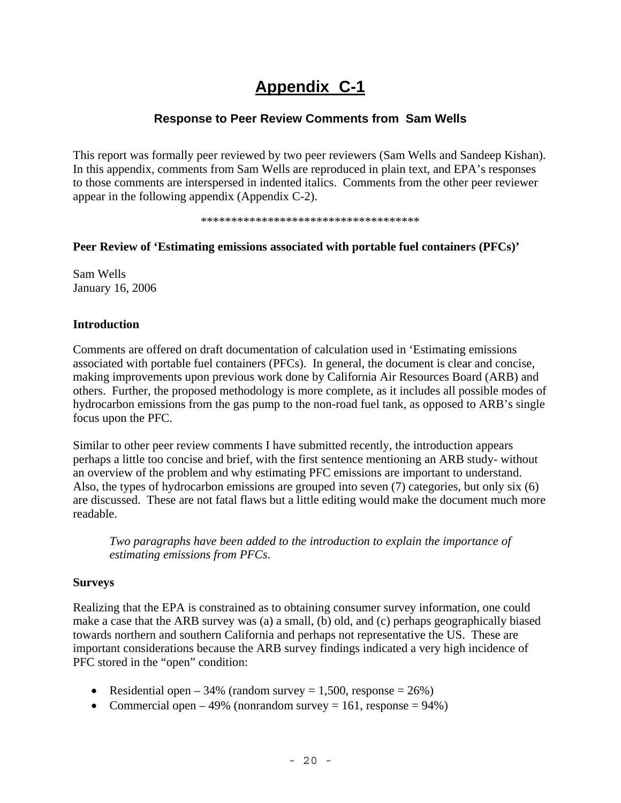# **Appendix C-1**

### **Response to Peer Review Comments from Sam Wells**

This report was formally peer reviewed by two peer reviewers (Sam Wells and Sandeep Kishan). In this appendix, comments from Sam Wells are reproduced in plain text, and EPA's responses to those comments are interspersed in indented italics. Comments from the other peer reviewer appear in the following appendix (Appendix C-2).

\*\*\*\*\*\*\*\*\*\*\*\*\*\*\*\*\*\*\*\*\*\*\*\*\*\*\*\*\*\*\*\*\*\*\*\*

### **Peer Review of 'Estimating emissions associated with portable fuel containers (PFCs)'**

Sam Wells January 16, 2006

### **Introduction**

Comments are offered on draft documentation of calculation used in 'Estimating emissions associated with portable fuel containers (PFCs). In general, the document is clear and concise, making improvements upon previous work done by California Air Resources Board (ARB) and others. Further, the proposed methodology is more complete, as it includes all possible modes of hydrocarbon emissions from the gas pump to the non-road fuel tank, as opposed to ARB's single focus upon the PFC.

Similar to other peer review comments I have submitted recently, the introduction appears perhaps a little too concise and brief, with the first sentence mentioning an ARB study- without an overview of the problem and why estimating PFC emissions are important to understand. Also, the types of hydrocarbon emissions are grouped into seven (7) categories, but only six (6) are discussed. These are not fatal flaws but a little editing would make the document much more readable.

*Two paragraphs have been added to the introduction to explain the importance of estimating emissions from PFCs*.

### **Surveys**

Realizing that the EPA is constrained as to obtaining consumer survey information, one could make a case that the ARB survey was (a) a small, (b) old, and (c) perhaps geographically biased towards northern and southern California and perhaps not representative the US. These are important considerations because the ARB survey findings indicated a very high incidence of PFC stored in the "open" condition:

- Residential open 34% (random survey = 1,500, response =  $26\%$ )
- Commercial open 49% (nonrandom survey = 161, response =  $94\%$ )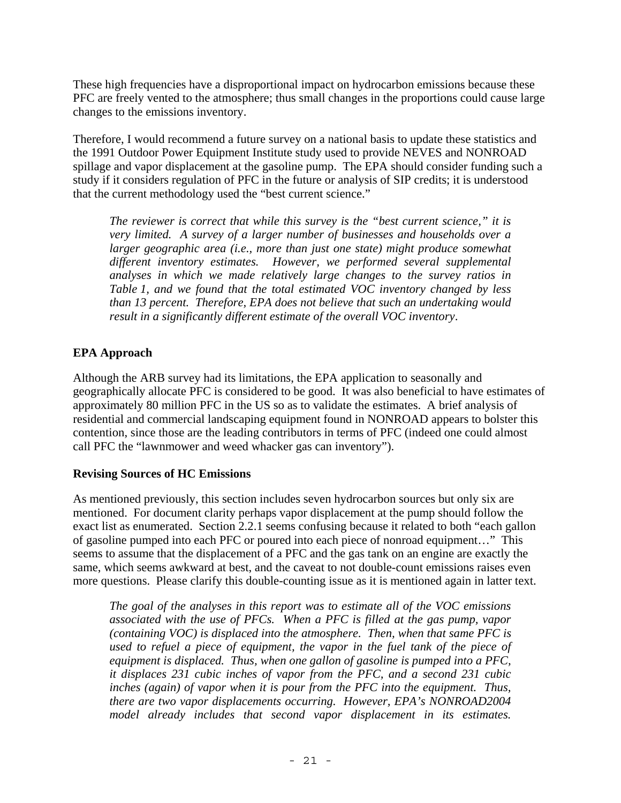These high frequencies have a disproportional impact on hydrocarbon emissions because these PFC are freely vented to the atmosphere; thus small changes in the proportions could cause large changes to the emissions inventory.

Therefore, I would recommend a future survey on a national basis to update these statistics and the 1991 Outdoor Power Equipment Institute study used to provide NEVES and NONROAD spillage and vapor displacement at the gasoline pump. The EPA should consider funding such a study if it considers regulation of PFC in the future or analysis of SIP credits; it is understood that the current methodology used the "best current science."

*The reviewer is correct that while this survey is the "best current science," it is very limited. A survey of a larger number of businesses and households over a larger geographic area (i.e., more than just one state) might produce somewhat different inventory estimates. However, we performed several supplemental analyses in which we made relatively large changes to the survey ratios in Table 1, and we found that the total estimated VOC inventory changed by less than 13 percent. Therefore, EPA does not believe that such an undertaking would result in a significantly different estimate of the overall VOC inventory*.

### **EPA Approach**

Although the ARB survey had its limitations, the EPA application to seasonally and geographically allocate PFC is considered to be good. It was also beneficial to have estimates of approximately 80 million PFC in the US so as to validate the estimates. A brief analysis of residential and commercial landscaping equipment found in NONROAD appears to bolster this contention, since those are the leading contributors in terms of PFC (indeed one could almost call PFC the "lawnmower and weed whacker gas can inventory").

### **Revising Sources of HC Emissions**

As mentioned previously, this section includes seven hydrocarbon sources but only six are mentioned. For document clarity perhaps vapor displacement at the pump should follow the exact list as enumerated. Section 2.2.1 seems confusing because it related to both "each gallon of gasoline pumped into each PFC or poured into each piece of nonroad equipment…" This seems to assume that the displacement of a PFC and the gas tank on an engine are exactly the same, which seems awkward at best, and the caveat to not double-count emissions raises even more questions. Please clarify this double-counting issue as it is mentioned again in latter text.

*The goal of the analyses in this report was to estimate all of the VOC emissions associated with the use of PFCs. When a PFC is filled at the gas pump, vapor (containing VOC) is displaced into the atmosphere. Then, when that same PFC is used to refuel a piece of equipment, the vapor in the fuel tank of the piece of equipment is displaced. Thus, when one gallon of gasoline is pumped into a PFC, it displaces 231 cubic inches of vapor from the PFC, and a second 231 cubic inches (again) of vapor when it is pour from the PFC into the equipment. Thus, there are two vapor displacements occurring. However, EPA's NONROAD2004 model already includes that second vapor displacement in its estimates.*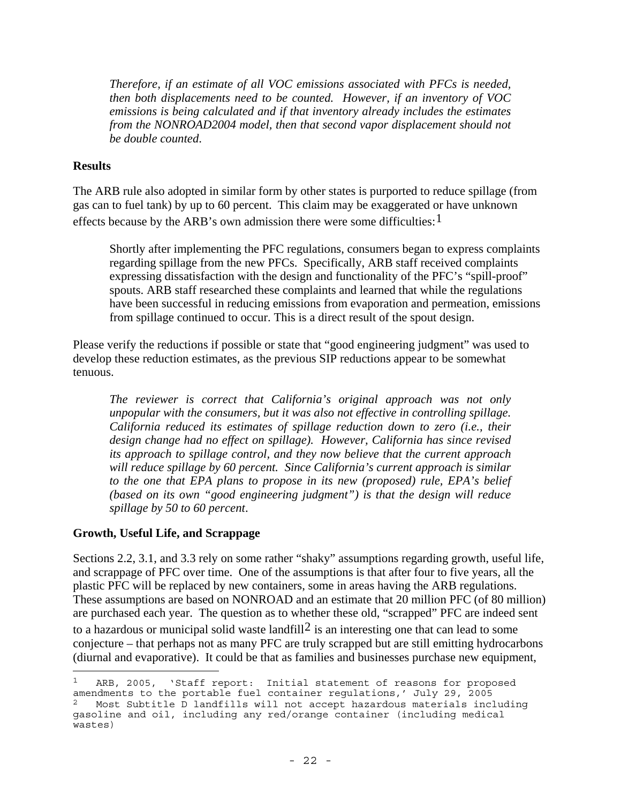*Therefore, if an estimate of all VOC emissions associated with PFCs is needed, then both displacements need to be counted. However, if an inventory of VOC emissions is being calculated and if that inventory already includes the estimates from the NONROAD2004 model, then that second vapor displacement should not be double counted*.

#### **Results**

The ARB rule also adopted in similar form by other states is purported to reduce spillage (from gas can to fuel tank) by up to 60 percent. This claim may be exaggerated or have unknown effects because by the ARB's own admission there were some difficulties:  $1$ 

Shortly after implementing the PFC regulations, consumers began to express complaints regarding spillage from the new PFCs. Specifically, ARB staff received complaints expressing dissatisfaction with the design and functionality of the PFC's "spill-proof" spouts. ARB staff researched these complaints and learned that while the regulations have been successful in reducing emissions from evaporation and permeation, emissions from spillage continued to occur. This is a direct result of the spout design.

Please verify the reductions if possible or state that "good engineering judgment" was used to develop these reduction estimates, as the previous SIP reductions appear to be somewhat tenuous.

*The reviewer is correct that California's original approach was not only unpopular with the consumers, but it was also not effective in controlling spillage. California reduced its estimates of spillage reduction down to zero (i.e., their design change had no effect on spillage). However, California has since revised its approach to spillage control, and they now believe that the current approach will reduce spillage by 60 percent. Since California's current approach is similar to the one that EPA plans to propose in its new (proposed) rule, EPA's belief (based on its own "good engineering judgment") is that the design will reduce spillage by 50 to 60 percent*.

### **Growth, Useful Life, and Scrappage**

Sections 2.2, 3.1, and 3.3 rely on some rather "shaky" assumptions regarding growth, useful life, and scrappage of PFC over time. One of the assumptions is that after four to five years, all the plastic PFC will be replaced by new containers, some in areas having the ARB regulations. These assumptions are based on NONROAD and an estimate that 20 million PFC (of 80 million) are purchased each year. The question as to whether these old, "scrapped" PFC are indeed sent to a hazardous or municipal solid waste landfill<sup>[2](#page-23-1)</sup> is an interesting one that can lead to some conjecture – that perhaps not as many PFC are truly scrapped but are still emitting hydrocarbons (diurnal and evaporative). It could be that as families and businesses purchase new equipment, 

<span id="page-23-1"></span><span id="page-23-0"></span>ARB, 2005, 'Staff report: Initial statement of reasons for proposed amendments to the portable fuel container regulations,' July 29, 2005 2 Most Subtitle D landfills will not accept hazardous materials including gasoline and oil, including any red/orange container (including medical wastes)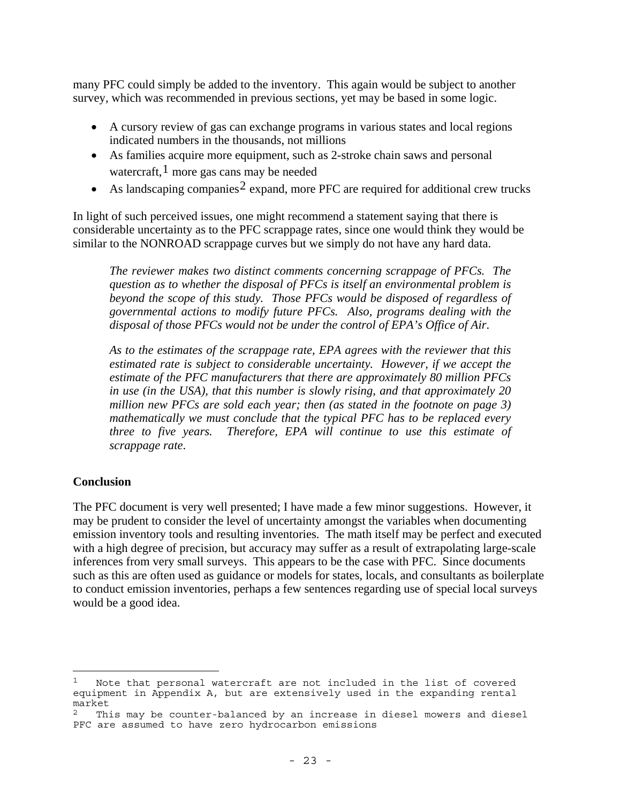many PFC could simply be added to the inventory. This again would be subject to another survey, which was recommended in previous sections, yet may be based in some logic.

- A cursory review of gas can exchange programs in various states and local regions indicated numbers in the thousands, not millions
- As families acquire more equipment, such as 2-stroke chain saws and personal watercraft, $<sup>1</sup>$  $<sup>1</sup>$  $<sup>1</sup>$  more gas cans may be needed</sup>
- As landscaping companies<sup>[2](#page-24-1)</sup> expand, more PFC are required for additional crew trucks

In light of such perceived issues, one might recommend a statement saying that there is considerable uncertainty as to the PFC scrappage rates, since one would think they would be similar to the NONROAD scrappage curves but we simply do not have any hard data.

*The reviewer makes two distinct comments concerning scrappage of PFCs. The question as to whether the disposal of PFCs is itself an environmental problem is beyond the scope of this study. Those PFCs would be disposed of regardless of governmental actions to modify future PFCs. Also, programs dealing with the disposal of those PFCs would not be under the control of EPA's Office of Air*.

*As to the estimates of the scrappage rate, EPA agrees with the reviewer that this estimated rate is subject to considerable uncertainty. However, if we accept the estimate of the PFC manufacturers that there are approximately 80 million PFCs in use (in the USA), that this number is slowly rising, and that approximately 20 million new PFCs are sold each year; then (as stated in the footnote on page 3) mathematically we must conclude that the typical PFC has to be replaced every three to five years. Therefore, EPA will continue to use this estimate of scrappage rate*.

### **Conclusion**

The PFC document is very well presented; I have made a few minor suggestions. However, it may be prudent to consider the level of uncertainty amongst the variables when documenting emission inventory tools and resulting inventories. The math itself may be perfect and executed with a high degree of precision, but accuracy may suffer as a result of extrapolating large-scale inferences from very small surveys. This appears to be the case with PFC. Since documents such as this are often used as guidance or models for states, locals, and consultants as boilerplate to conduct emission inventories, perhaps a few sentences regarding use of special local surveys would be a good idea.

<span id="page-24-0"></span>Note that personal watercraft are not included in the list of covered equipment in Appendix A, but are extensively used in the expanding rental market

<span id="page-24-1"></span>This may be counter-balanced by an increase in diesel mowers and diesel PFC are assumed to have zero hydrocarbon emissions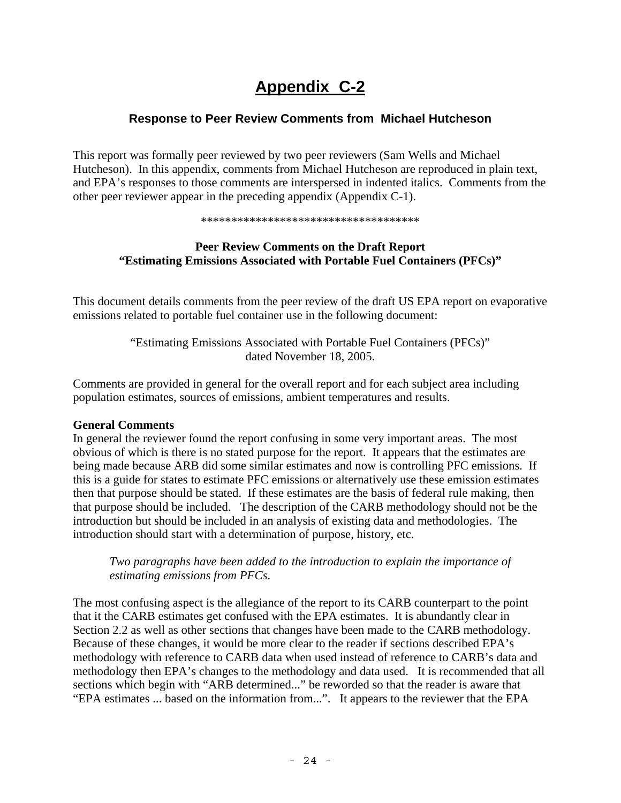# **Appendix C-2**

### **Response to Peer Review Comments from Michael Hutcheson**

This report was formally peer reviewed by two peer reviewers (Sam Wells and Michael Hutcheson). In this appendix, comments from Michael Hutcheson are reproduced in plain text, and EPA's responses to those comments are interspersed in indented italics. Comments from the other peer reviewer appear in the preceding appendix (Appendix C-1).

\*\*\*\*\*\*\*\*\*\*\*\*\*\*\*\*\*\*\*\*\*\*\*\*\*\*\*\*\*\*\*\*\*\*\*\*

### **Peer Review Comments on the Draft Report "Estimating Emissions Associated with Portable Fuel Containers (PFCs)"**

This document details comments from the peer review of the draft US EPA report on evaporative emissions related to portable fuel container use in the following document:

> "Estimating Emissions Associated with Portable Fuel Containers (PFCs)" dated November 18, 2005.

Comments are provided in general for the overall report and for each subject area including population estimates, sources of emissions, ambient temperatures and results.

### **General Comments**

In general the reviewer found the report confusing in some very important areas. The most obvious of which is there is no stated purpose for the report. It appears that the estimates are being made because ARB did some similar estimates and now is controlling PFC emissions. If this is a guide for states to estimate PFC emissions or alternatively use these emission estimates then that purpose should be stated. If these estimates are the basis of federal rule making, then that purpose should be included. The description of the CARB methodology should not be the introduction but should be included in an analysis of existing data and methodologies. The introduction should start with a determination of purpose, history, etc.

*Two paragraphs have been added to the introduction to explain the importance of estimating emissions from PFCs*.

The most confusing aspect is the allegiance of the report to its CARB counterpart to the point that it the CARB estimates get confused with the EPA estimates. It is abundantly clear in Section 2.2 as well as other sections that changes have been made to the CARB methodology. Because of these changes, it would be more clear to the reader if sections described EPA's methodology with reference to CARB data when used instead of reference to CARB's data and methodology then EPA's changes to the methodology and data used. It is recommended that all sections which begin with "ARB determined..." be reworded so that the reader is aware that "EPA estimates ... based on the information from...". It appears to the reviewer that the EPA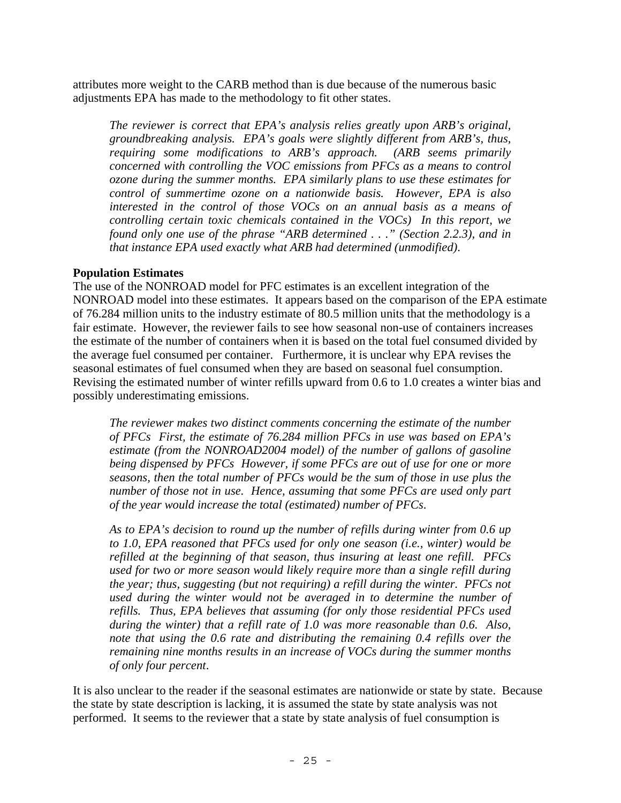attributes more weight to the CARB method than is due because of the numerous basic adjustments EPA has made to the methodology to fit other states.

*The reviewer is correct that EPA's analysis relies greatly upon ARB's original, groundbreaking analysis. EPA's goals were slightly different from ARB's, thus, requiring some modifications to ARB's approach. (ARB seems primarily concerned with controlling the VOC emissions from PFCs as a means to control ozone during the summer months. EPA similarly plans to use these estimates for control of summertime ozone on a nationwide basis. However, EPA is also interested in the control of those VOCs on an annual basis as a means of controlling certain toxic chemicals contained in the VOCs) In this report, we found only one use of the phrase "ARB determined . . ." (Section 2.2.3), and in that instance EPA used exactly what ARB had determined (unmodified)*.

#### **Population Estimates**

The use of the NONROAD model for PFC estimates is an excellent integration of the NONROAD model into these estimates. It appears based on the comparison of the EPA estimate of 76.284 million units to the industry estimate of 80.5 million units that the methodology is a fair estimate. However, the reviewer fails to see how seasonal non-use of containers increases the estimate of the number of containers when it is based on the total fuel consumed divided by the average fuel consumed per container. Furthermore, it is unclear why EPA revises the seasonal estimates of fuel consumed when they are based on seasonal fuel consumption. Revising the estimated number of winter refills upward from 0.6 to 1.0 creates a winter bias and possibly underestimating emissions.

*The reviewer makes two distinct comments concerning the estimate of the number of PFCs First, the estimate of 76.284 million PFCs in use was based on EPA's estimate (from the NONROAD2004 model) of the number of gallons of gasoline being dispensed by PFCs However, if some PFCs are out of use for one or more seasons, then the total number of PFCs would be the sum of those in use plus the number of those not in use. Hence, assuming that some PFCs are used only part of the year would increase the total (estimated) number of PFCs*.

*As to EPA's decision to round up the number of refills during winter from 0.6 up to 1.0, EPA reasoned that PFCs used for only one season (i.e., winter) would be refilled at the beginning of that season, thus insuring at least one refill. PFCs used for two or more season would likely require more than a single refill during the year; thus, suggesting (but not requiring) a refill during the winter. PFCs not used during the winter would not be averaged in to determine the number of refills. Thus, EPA believes that assuming (for only those residential PFCs used during the winter) that a refill rate of 1.0 was more reasonable than 0.6. Also, note that using the 0.6 rate and distributing the remaining 0.4 refills over the remaining nine months results in an increase of VOCs during the summer months of only four percent*.

It is also unclear to the reader if the seasonal estimates are nationwide or state by state. Because the state by state description is lacking, it is assumed the state by state analysis was not performed. It seems to the reviewer that a state by state analysis of fuel consumption is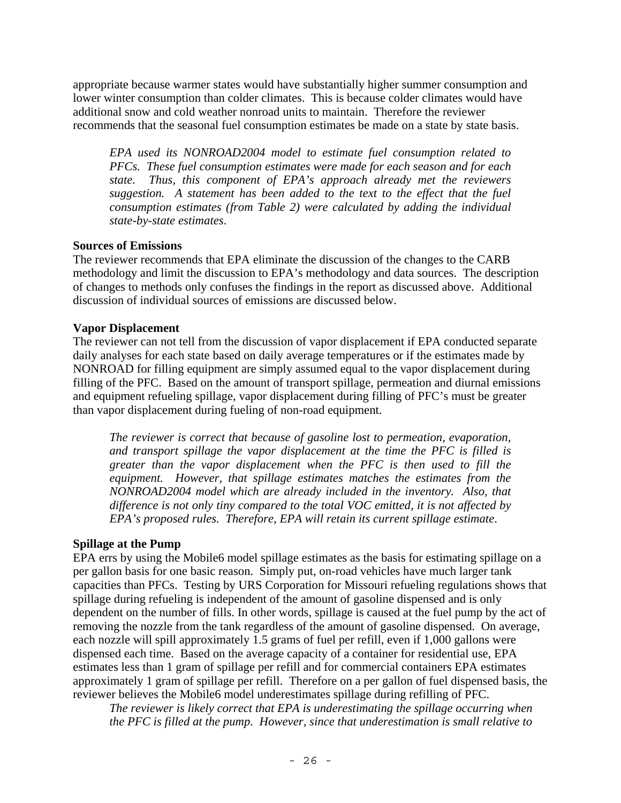appropriate because warmer states would have substantially higher summer consumption and lower winter consumption than colder climates. This is because colder climates would have additional snow and cold weather nonroad units to maintain. Therefore the reviewer recommends that the seasonal fuel consumption estimates be made on a state by state basis.

*EPA used its NONROAD2004 model to estimate fuel consumption related to PFCs. These fuel consumption estimates were made for each season and for each state. Thus, this component of EPA's approach already met the reviewers suggestion. A statement has been added to the text to the effect that the fuel consumption estimates (from Table 2) were calculated by adding the individual state-by-state estimates*.

### **Sources of Emissions**

The reviewer recommends that EPA eliminate the discussion of the changes to the CARB methodology and limit the discussion to EPA's methodology and data sources. The description of changes to methods only confuses the findings in the report as discussed above. Additional discussion of individual sources of emissions are discussed below.

#### **Vapor Displacement**

The reviewer can not tell from the discussion of vapor displacement if EPA conducted separate daily analyses for each state based on daily average temperatures or if the estimates made by NONROAD for filling equipment are simply assumed equal to the vapor displacement during filling of the PFC. Based on the amount of transport spillage, permeation and diurnal emissions and equipment refueling spillage, vapor displacement during filling of PFC's must be greater than vapor displacement during fueling of non-road equipment.

*The reviewer is correct that because of gasoline lost to permeation, evaporation, and transport spillage the vapor displacement at the time the PFC is filled is greater than the vapor displacement when the PFC is then used to fill the equipment. However, that spillage estimates matches the estimates from the NONROAD2004 model which are already included in the inventory. Also, that difference is not only tiny compared to the total VOC emitted, it is not affected by EPA's proposed rules. Therefore, EPA will retain its current spillage estimate*.

#### **Spillage at the Pump**

EPA errs by using the Mobile6 model spillage estimates as the basis for estimating spillage on a per gallon basis for one basic reason. Simply put, on-road vehicles have much larger tank capacities than PFCs. Testing by URS Corporation for Missouri refueling regulations shows that spillage during refueling is independent of the amount of gasoline dispensed and is only dependent on the number of fills. In other words, spillage is caused at the fuel pump by the act of removing the nozzle from the tank regardless of the amount of gasoline dispensed. On average, each nozzle will spill approximately 1.5 grams of fuel per refill, even if 1,000 gallons were dispensed each time. Based on the average capacity of a container for residential use, EPA estimates less than 1 gram of spillage per refill and for commercial containers EPA estimates approximately 1 gram of spillage per refill. Therefore on a per gallon of fuel dispensed basis, the reviewer believes the Mobile6 model underestimates spillage during refilling of PFC.

*The reviewer is likely correct that EPA is underestimating the spillage occurring when the PFC is filled at the pump. However, since that underestimation is small relative to*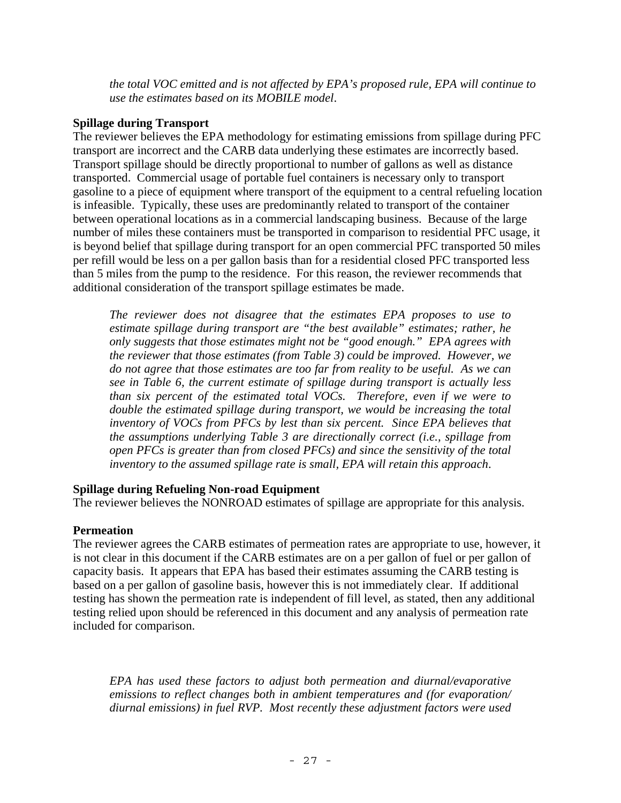*the total VOC emitted and is not affected by EPA's proposed rule, EPA will continue to use the estimates based on its MOBILE model*.

### **Spillage during Transport**

The reviewer believes the EPA methodology for estimating emissions from spillage during PFC transport are incorrect and the CARB data underlying these estimates are incorrectly based. Transport spillage should be directly proportional to number of gallons as well as distance transported. Commercial usage of portable fuel containers is necessary only to transport gasoline to a piece of equipment where transport of the equipment to a central refueling location is infeasible. Typically, these uses are predominantly related to transport of the container between operational locations as in a commercial landscaping business. Because of the large number of miles these containers must be transported in comparison to residential PFC usage, it is beyond belief that spillage during transport for an open commercial PFC transported 50 miles per refill would be less on a per gallon basis than for a residential closed PFC transported less than 5 miles from the pump to the residence. For this reason, the reviewer recommends that additional consideration of the transport spillage estimates be made.

*The reviewer does not disagree that the estimates EPA proposes to use to estimate spillage during transport are "the best available" estimates; rather, he only suggests that those estimates might not be "good enough." EPA agrees with the reviewer that those estimates (from Table 3) could be improved. However, we do not agree that those estimates are too far from reality to be useful. As we can see in Table 6, the current estimate of spillage during transport is actually less than six percent of the estimated total VOCs. Therefore, even if we were to*  double the estimated spillage during transport, we would be increasing the total *inventory of VOCs from PFCs by lest than six percent. Since EPA believes that the assumptions underlying Table 3 are directionally correct (i.e., spillage from open PFCs is greater than from closed PFCs) and since the sensitivity of the total inventory to the assumed spillage rate is small, EPA will retain this approach*.

### **Spillage during Refueling Non-road Equipment**

The reviewer believes the NONROAD estimates of spillage are appropriate for this analysis.

### **Permeation**

The reviewer agrees the CARB estimates of permeation rates are appropriate to use, however, it is not clear in this document if the CARB estimates are on a per gallon of fuel or per gallon of capacity basis. It appears that EPA has based their estimates assuming the CARB testing is based on a per gallon of gasoline basis, however this is not immediately clear. If additional testing has shown the permeation rate is independent of fill level, as stated, then any additional testing relied upon should be referenced in this document and any analysis of permeation rate included for comparison.

*EPA has used these factors to adjust both permeation and diurnal/evaporative emissions to reflect changes both in ambient temperatures and (for evaporation/ diurnal emissions) in fuel RVP. Most recently these adjustment factors were used*